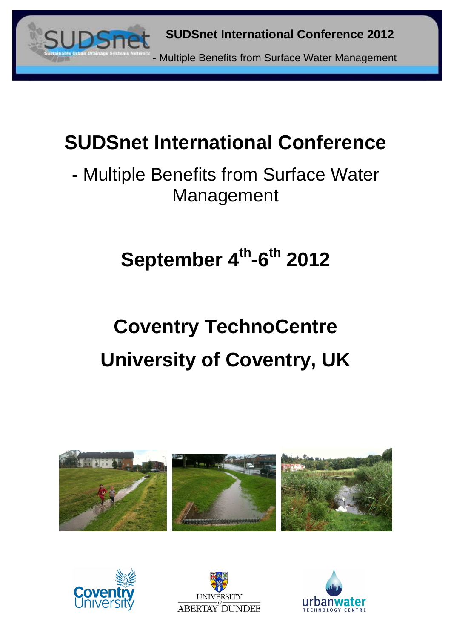

**-** Multiple Benefits from Surface Water Management

# **September 4th-6th 2012**

# **Coventry TechnoCentre University of Coventry, UK**







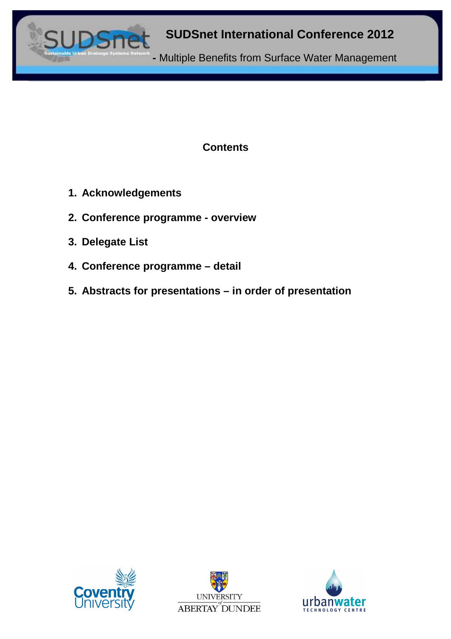

# **Contents**

- **1. Acknowledgements**
- **2. Conference programme overview**
- **3. Delegate List**
- **4. Conference programme detail**
- **5. Abstracts for presentations in order of presentation**





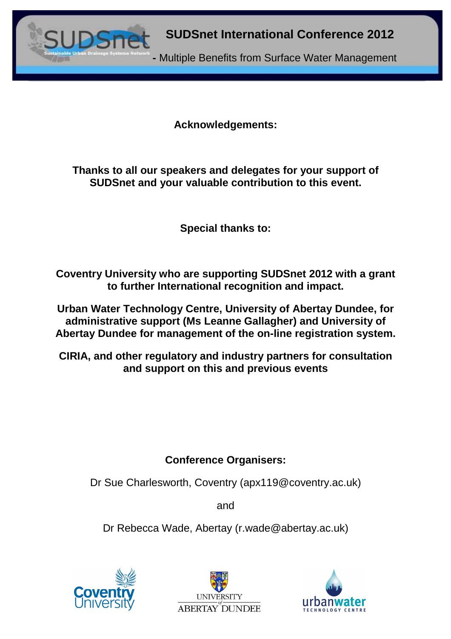

**Acknowledgements:** 

**Thanks to all our speakers and delegates for your support of SUDSnet and your valuable contribution to this event.** 

**Special thanks to:** 

**Coventry University who are supporting SUDSnet 2012 with a grant to further International recognition and impact.** 

**Urban Water Technology Centre, University of Abertay Dundee, for administrative support (Ms Leanne Gallagher) and University of Abertay Dundee for management of the on-line registration system.** 

**CIRIA, and other regulatory and industry partners for consultation and support on this and previous events** 

# **Conference Organisers:**

Dr Sue Charlesworth, Coventry (apx119@coventry.ac.uk)

and

Dr Rebecca Wade, Abertay (r.wade@abertay.ac.uk)





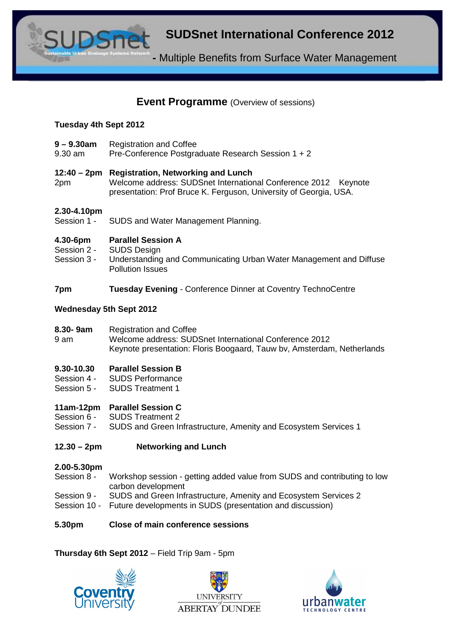**-** Multiple Benefits from Surface Water Management

# **Event Programme** *(Overview of sessions)*

#### **Tuesday 4th Sept 2012**

- **9 9.30am** Registration and Coffee
- 9.30 am Pre-Conference Postgraduate Research Session 1 + 2

#### **12:40 – 2pm Registration, Networking and Lunch**

2pm Welcome address: SUDSnet International Conference 2012 Keynote presentation: Prof Bruce K. Ferguson, University of Georgia, USA.

# **2.30-4.10pm**

SUDS and Water Management Planning.

#### **4.30-6pm Parallel Session A**

- Session 2 SUDS Design
- Session 3 Understanding and Communicating Urban Water Management and Diffuse Pollution Issues

#### **7pm Tuesday Evening** - Conference Dinner at Coventry TechnoCentre

#### **Wednesday 5th Sept 2012**

**8.30- 9am** Registration and Coffee

9 am Welcome address: SUDSnet International Conference 2012 Keynote presentation: Floris Boogaard, Tauw bv, Amsterdam, Netherlands

#### **9.30-10.30 Parallel Session B**

- Session 4 SUDS Performance
- Session 5 SUDS Treatment 1

#### **11am-12pm Parallel Session C**

- Session 6 SUDS Treatment 2
- Session 7 -SUDS and Green Infrastructure, Amenity and Ecosystem Services 1

#### **12.30 – 2pm Networking and Lunch**

#### **2.00-5.30pm**

- Session 8 Workshop session getting added value from SUDS and contributing to low carbon development
- Session 9 SUDS and Green Infrastructure, Amenity and Ecosystem Services 2
- Session 10 Future developments in SUDS (presentation and discussion)

#### **5.30pm Close of main conference sessions**

#### **Thursday 6th Sept 2012** – Field Trip 9am - 5pm





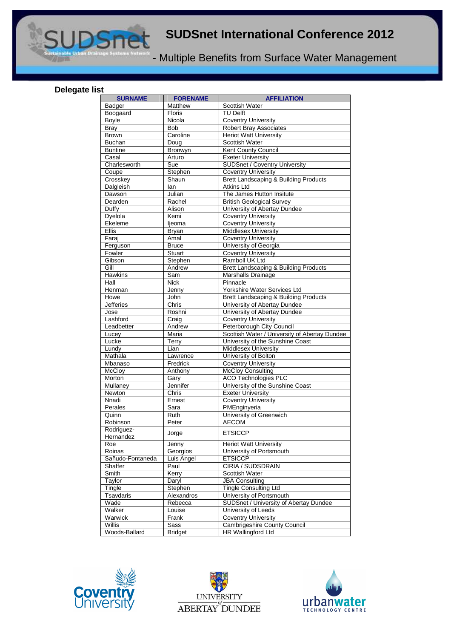**-** Multiple Benefits from Surface Water Management

#### **Delegate list**

| <b>SURNAME</b>                     | <b>FORENAME</b>    | <b>AFFILIATION</b>                               |
|------------------------------------|--------------------|--------------------------------------------------|
| <b>Badger</b>                      | Matthew            | Scottish Water                                   |
| Boogaard                           | Floris             | <b>TU Delft</b>                                  |
| <b>Boyle</b>                       | Nicola             | <b>Coventry University</b>                       |
| <b>Bray</b>                        | <b>Bob</b>         | <b>Robert Bray Associates</b>                    |
| Brown                              | Caroline           | <b>Heriot Watt University</b>                    |
| <b>Buchan</b>                      | Doug               | Scottish Water                                   |
| <b>Buntine</b>                     | Bronwyn            | Kent County Council                              |
| Casal                              | Arturo             | <b>Exeter University</b>                         |
| Charlesworth                       | Sue                | <b>SUDSnet / Coventry University</b>             |
| $\overline{\mathrm{Coupe}}$        | Stephen            | <b>Coventry University</b>                       |
| Crosskey                           | Shaun              | Brett Landscaping & Building Products            |
| Dalgleish                          | lan                | <b>Atkins Ltd</b>                                |
| Dawson                             | Julian             | The James Hutton Insitute                        |
| Dearden                            | Rachel             | <b>British Geological Survey</b>                 |
| Duffy                              | Alison             | University of Abertay Dundee                     |
| Dyelola                            | Kemi               | <b>Coventry University</b>                       |
| Ekeleme                            | ljeoma             | <b>Coventry University</b>                       |
| <b>Ellis</b>                       | <b>Bryan</b>       | <b>Middlesex University</b>                      |
| Faraj                              | Amal               | <b>Coventry University</b>                       |
| Ferguson                           | <b>Bruce</b>       | University of Georgia                            |
| Fowler                             | <b>Stuart</b>      | <b>Coventry University</b>                       |
| Gibson<br>$\overline{\text{Gill}}$ | Stephen            | Ramboll UK Ltd                                   |
|                                    | Andrew             | <b>Brett Landscaping &amp; Building Products</b> |
| Hawkins<br>Hall                    | Sam<br><b>Nick</b> | Marshalls Drainage<br>Pinnacle                   |
| Henman                             | Jenny              | Yorkshire Water Services Ltd                     |
| Howe                               | John               | <b>Brett Landscaping &amp; Building Products</b> |
| <b>Jefferies</b>                   | Chris              | University of Abertay Dundee                     |
| Jose                               | Roshni             | University of Abertay Dundee                     |
| Lashford                           | Craig              | <b>Coventry University</b>                       |
| Leadbetter                         | Andrew             | Peterborough City Council                        |
| Lucey                              | Maria              | Scottish Water / University of Abertay Dundee    |
| Lucke                              | Terry              | University of the Sunshine Coast                 |
| Lundy                              | Lian               | Middlesex University                             |
| Mathala                            | Lawrence           | University of Bolton                             |
| Mbanaso                            | Fredrick           | <b>Coventry University</b>                       |
| <b>McCloy</b>                      | Anthony            | <b>McCloy Consulting</b>                         |
| Morton                             | Gary               | <b>ACO Technologies PLC</b>                      |
| Mullaney                           | Jennifer           | University of the Sunshine Coast                 |
| Newton                             | Chris              | <b>Exeter University</b>                         |
| Nnadi                              | Ernest             | <b>Coventry University</b>                       |
| Perales                            | Sara               | PMEnginyeria                                     |
| Quinn                              | Ruth               | University of Greenwich                          |
| Robinson                           | Peter              | <b>AECOM</b>                                     |
| Rodriguez-                         |                    | <b>ETSICCP</b>                                   |
| Hernandez                          | Jorge              |                                                  |
| Roe                                | Jenny              | <b>Heriot Watt University</b>                    |
| Roinas                             | Georgios           | University of Portsmouth                         |
| Sañudo-Fontaneda                   | Luis Angel         | <b>ETSICCP</b>                                   |
| Shaffer                            | Paul               | CIRIA / SUDSDRAIN                                |
| Smith                              | Kerry              | Scottish Water                                   |
| Taylor                             | Darvl              | <b>JBA Consulting</b>                            |
| Tingle                             | Stephen            | <b>Tingle Consulting Ltd</b>                     |
| Tsavdaris                          | Alexandros         | University of Portsmouth                         |
| Wade                               | Rebecca            | SUDSnet / University of Abertay Dundee           |
| Walker                             | Louise             | University of Leeds                              |
| Warwick                            | Frank              | <b>Coventry University</b>                       |
| Willis                             | Sass               | Cambrigeshire County Council                     |
| Woods-Ballard                      | <b>Bridget</b>     | <b>HR Wallingford Ltd</b>                        |





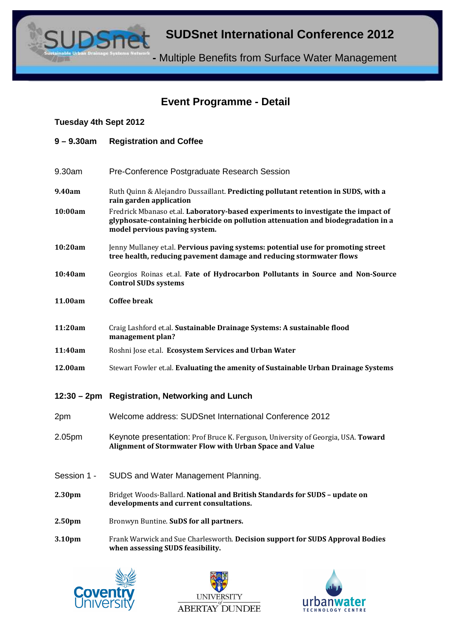**-** Multiple Benefits from Surface Water Management

# **Event Programme - Detail**

#### **Tuesday 4th Sept 2012**

- **9 9.30am Registration and Coffee**
- 9.30am Pre-Conference Postgraduate Research Session
- 9.40am Ruth Quinn & Alejandro Dussaillant. Predicting pollutant retention in SUDS, with a rain garden application
- 10:00am Fredrick Mbanaso et.al. Laboratory-based experiments to investigate the impact of glyphosate-containing herbicide on pollution attenuation and biodegradation in a model pervious paving system.
- 10:20am Jenny Mullaney et.al. Pervious paving systems: potential use for promoting street tree health, reducing pavement damage and reducing stormwater flows
- 10:40am Georgios Roinas et.al. Fate of Hydrocarbon Pollutants in Source and Non-Source Control SUDs systems
- 11.00am Coffee break
- 11:20am Craig Lashford et.al. Sustainable Drainage Systems: A sustainable flood management plan?
- 11:40am Roshni Jose et.al. Ecosystem Services and Urban Water
- 12.00am Stewart Fowler et.al. Evaluating the amenity of Sustainable Urban Drainage Systems

#### **12:30 – 2pm Registration, Networking and Lunch**

- 2pm Welcome address: SUDSnet International Conference 2012
- 2.05pm Keynote presentation: Prof Bruce K. Ferguson, University of Georgia, USA. Toward Alignment of Stormwater Flow with Urban Space and Value
- Session 1 SUDS and Water Management Planning.
- 2.30pm Bridget Woods-Ballard. National and British Standards for SUDS update on developments and current consultations.
- 2.50pm Bronwyn Buntine. SuDS for all partners.
- 3.10pm Frank Warwick and Sue Charlesworth. Decision support for SUDS Approval Bodies when assessing SUDS feasibility.





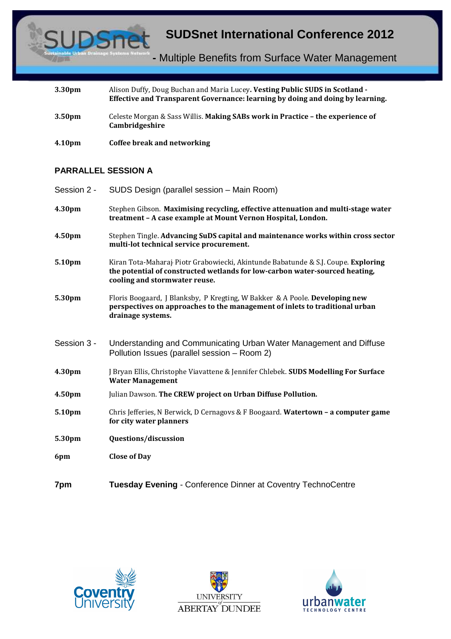

| 3.30 <sub>pm</sub> | Alison Duffy, Doug Buchan and Maria Lucey. Vesting Public SUDS in Scotland -<br>Effective and Transparent Governance: learning by doing and doing by learning. |
|--------------------|----------------------------------------------------------------------------------------------------------------------------------------------------------------|
| 3.50 <sub>pm</sub> | Celeste Morgan & Sass Willis. Making SABs work in Practice - the experience of<br>Cambridgeshire                                                               |

4.10pm Coffee break and networking

#### **PARRALLEL SESSION A**

| Session 2 - | SUDS Design (parallel session - Main Room)                                                                                                                                                        |
|-------------|---------------------------------------------------------------------------------------------------------------------------------------------------------------------------------------------------|
| 4.30pm      | Stephen Gibson. Maximising recycling, effective attenuation and multi-stage water<br>treatment - A case example at Mount Vernon Hospital, London.                                                 |
| 4.50pm      | Stephen Tingle. Advancing SuDS capital and maintenance works within cross sector<br>multi-lot technical service procurement.                                                                      |
| 5.10pm      | Kiran Tota-Maharaj Piotr Grabowiecki, Akintunde Babatunde & S.J. Coupe. Exploring<br>the potential of constructed wetlands for low-carbon water-sourced heating,<br>cooling and stormwater reuse. |
| 5.30pm      | Floris Boogaard, J Blanksby, P Kregting, W Bakker & A Poole. Developing new<br>perspectives on approaches to the management of inlets to traditional urban<br>drainage systems.                   |
| Session 3 - | Understanding and Communicating Urban Water Management and Diffuse<br>Pollution Issues (parallel session - Room 2)                                                                                |
| 4.30pm      | J Bryan Ellis, Christophe Viavattene & Jennifer Chlebek. SUDS Modelling For Surface<br><b>Water Management</b>                                                                                    |
| 4.50pm      | Julian Dawson. The CREW project on Urban Diffuse Pollution.                                                                                                                                       |
| 5.10pm      | Chris Jefferies, N Berwick, D Cernagovs & F Boogaard. Watertown - a computer game<br>for city water planners                                                                                      |
| 5.30pm      | Questions/discussion                                                                                                                                                                              |
| 6pm         | <b>Close of Day</b>                                                                                                                                                                               |
| 7pm         | <b>Tuesday Evening - Conference Dinner at Coventry TechnoCentre</b>                                                                                                                               |





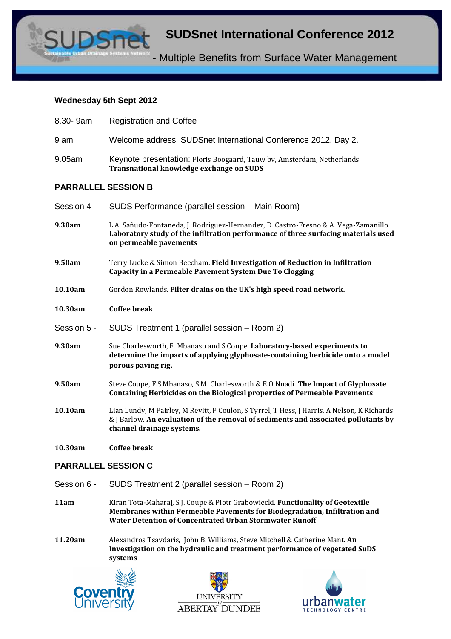**-** Multiple Benefits from Surface Water Management

#### **Wednesday 5th Sept 2012**

| 8.30-9am                   | <b>Registration and Coffee</b>                                                                                                                                                                                 |  |
|----------------------------|----------------------------------------------------------------------------------------------------------------------------------------------------------------------------------------------------------------|--|
| 9 am                       | Welcome address: SUDSnet International Conference 2012. Day 2.                                                                                                                                                 |  |
| 9.05am                     | Keynote presentation: Floris Boogaard, Tauw bv, Amsterdam, Netherlands<br>Transnational knowledge exchange on SUDS                                                                                             |  |
| <b>PARRALLEL SESSION B</b> |                                                                                                                                                                                                                |  |
| Session 4 -                | SUDS Performance (parallel session - Main Room)                                                                                                                                                                |  |
| 9.30am                     | L.A. Sañudo-Fontaneda, J. Rodriguez-Hernandez, D. Castro-Fresno & A. Vega-Zamanillo.<br>Laboratory study of the infiltration performance of three surfacing materials used<br>on permeable pavements           |  |
| 9.50am                     | Terry Lucke & Simon Beecham. Field Investigation of Reduction in Infiltration<br><b>Capacity in a Permeable Pavement System Due To Clogging</b>                                                                |  |
| 10.10am                    | Gordon Rowlands. Filter drains on the UK's high speed road network.                                                                                                                                            |  |
| 10.30am                    | <b>Coffee break</b>                                                                                                                                                                                            |  |
| Session 5 -                | SUDS Treatment 1 (parallel session – Room 2)                                                                                                                                                                   |  |
| 9.30am                     | Sue Charlesworth, F. Mbanaso and S Coupe. Laboratory-based experiments to<br>determine the impacts of applying glyphosate-containing herbicide onto a model<br>porous paving rig.                              |  |
| 9.50am                     | Steve Coupe, F.S Mbanaso, S.M. Charlesworth & E.O Nnadi. The Impact of Glyphosate<br><b>Containing Herbicides on the Biological properties of Permeable Pavements</b>                                          |  |
| 10.10am                    | Lian Lundy, M Fairley, M Revitt, F Coulon, S Tyrrel, T Hess, J Harris, A Nelson, K Richards<br>& J Barlow. An evaluation of the removal of sediments and associated pollutants by<br>channel drainage systems. |  |
| 10.30am                    | <b>Coffee break</b>                                                                                                                                                                                            |  |

#### **PARRALLEL SESSION C**

- Session 6 SUDS Treatment 2 (parallel session Room 2)
- 11am Kiran Tota-Maharaj, S.J. Coupe & Piotr Grabowiecki. Functionality of Geotextile Membranes within Permeable Pavements for Biodegradation, Infiltration and Water Detention of Concentrated Urban Stormwater Runoff
- 11.20am Alexandros Tsavdaris, John B. Williams, Steve Mitchell & Catherine Mant. An Investigation on the hydraulic and treatment performance of vegetated SuDS systems





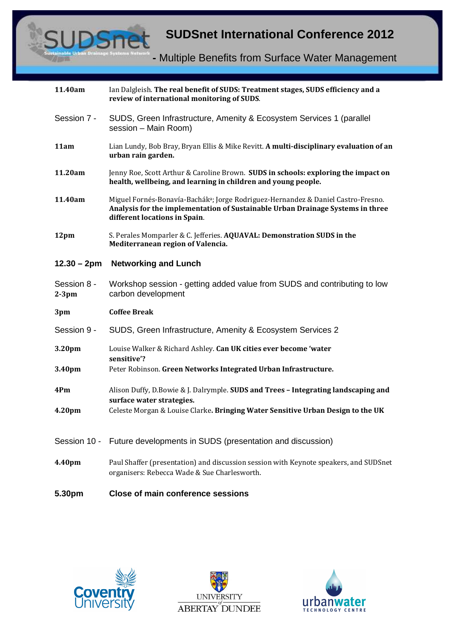

| 11.40am                 | Ian Dalgleish. The real benefit of SUDS: Treatment stages, SUDS efficiency and a<br>review of international monitoring of SUDS.                                                                                  |
|-------------------------|------------------------------------------------------------------------------------------------------------------------------------------------------------------------------------------------------------------|
| Session 7 -             | SUDS, Green Infrastructure, Amenity & Ecosystem Services 1 (parallel<br>session - Main Room)                                                                                                                     |
| 11am                    | Lian Lundy, Bob Bray, Bryan Ellis & Mike Revitt. A multi-disciplinary evaluation of an<br>urban rain garden.                                                                                                     |
| 11.20am                 | Jenny Roe, Scott Arthur & Caroline Brown. SUDS in schools: exploring the impact on<br>health, wellbeing, and learning in children and young people.                                                              |
| 11.40am                 | Miguel Fornés-Bonavía-Bachák <sup>a</sup> ; Jorge Rodriguez-Hernandez & Daniel Castro-Fresno.<br>Analysis for the implementation of Sustainable Urban Drainage Systems in three<br>different locations in Spain. |
| 12pm                    | S. Perales Momparler & C. Jefferies. AQUAVAL: Demonstration SUDS in the<br>Mediterranean region of Valencia.                                                                                                     |
| $12.30 - 2pm$           | <b>Networking and Lunch</b>                                                                                                                                                                                      |
| Session 8 -<br>$2-3$ pm | Workshop session - getting added value from SUDS and contributing to low<br>carbon development                                                                                                                   |
| 3pm                     | <b>Coffee Break</b>                                                                                                                                                                                              |
| Session 9 -             | SUDS, Green Infrastructure, Amenity & Ecosystem Services 2                                                                                                                                                       |
| 3.20pm                  | Louise Walker & Richard Ashley. Can UK cities ever become 'water                                                                                                                                                 |
| 3.40pm                  | sensitive'?<br>Peter Robinson. Green Networks Integrated Urban Infrastructure.                                                                                                                                   |
| 4Pm                     | Alison Duffy, D.Bowie & J. Dalrymple. SUDS and Trees - Integrating landscaping and                                                                                                                               |
| 4.20pm                  | surface water strategies.<br>Celeste Morgan & Louise Clarke. Bringing Water Sensitive Urban Design to the UK                                                                                                     |
| Session 10 -            | Future developments in SUDS (presentation and discussion)                                                                                                                                                        |
| 4.40pm                  | Paul Shaffer (presentation) and discussion session with Keynote speakers, and SUDSnet<br>organisers: Rebecca Wade & Sue Charlesworth.                                                                            |
| 5.30pm                  | <b>Close of main conference sessions</b>                                                                                                                                                                         |





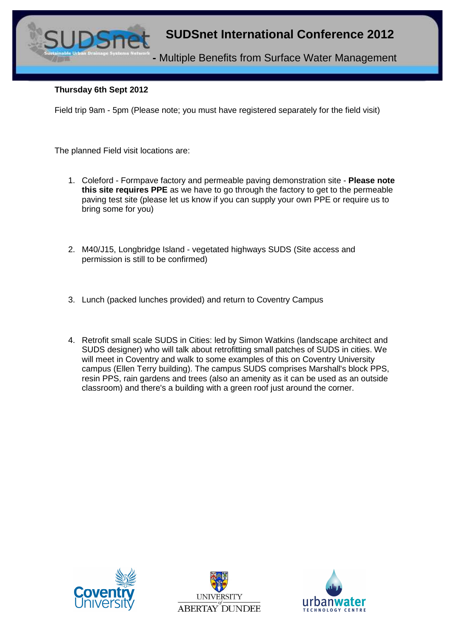

#### **Thursday 6th Sept 2012**

Field trip 9am - 5pm (Please note; you must have registered separately for the field visit)

The planned Field visit locations are:

- 1. Coleford Formpave factory and permeable paving demonstration site **Please note this site requires PPE** as we have to go through the factory to get to the permeable paving test site (please let us know if you can supply your own PPE or require us to bring some for you)
- 2. M40/J15, Longbridge Island vegetated highways SUDS (Site access and permission is still to be confirmed)
- 3. Lunch (packed lunches provided) and return to Coventry Campus
- 4. Retrofit small scale SUDS in Cities: led by Simon Watkins (landscape architect and SUDS designer) who will talk about retrofitting small patches of SUDS in cities. We will meet in Coventry and walk to some examples of this on Coventry University campus (Ellen Terry building). The campus SUDS comprises Marshall's block PPS, resin PPS, rain gardens and trees (also an amenity as it can be used as an outside classroom) and there's a building with a green roof just around the corner.





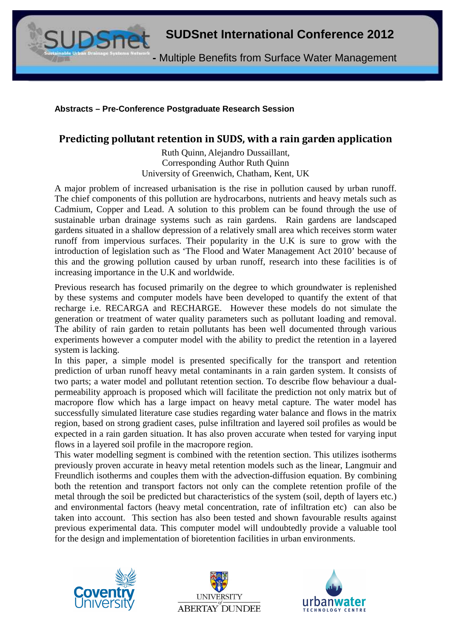**-** Multiple Benefits from Surface Water Management

#### **Abstracts – Pre-Conference Postgraduate Research Session**

# Predicting pollutant retention in SUDS, with a rain garden application

Ruth Quinn, Alejandro Dussaillant, Corresponding Author Ruth Quinn University of Greenwich, Chatham, Kent, UK

A major problem of increased urbanisation is the rise in pollution caused by urban runoff. The chief components of this pollution are hydrocarbons, nutrients and heavy metals such as Cadmium, Copper and Lead. A solution to this problem can be found through the use of sustainable urban drainage systems such as rain gardens. Rain gardens are landscaped gardens situated in a shallow depression of a relatively small area which receives storm water runoff from impervious surfaces. Their popularity in the U.K is sure to grow with the introduction of legislation such as 'The Flood and Water Management Act 2010' because of this and the growing pollution caused by urban runoff, research into these facilities is of increasing importance in the U.K and worldwide.

Previous research has focused primarily on the degree to which groundwater is replenished by these systems and computer models have been developed to quantify the extent of that recharge i.e. RECARGA and RECHARGE. However these models do not simulate the generation or treatment of water quality parameters such as pollutant loading and removal. The ability of rain garden to retain pollutants has been well documented through various experiments however a computer model with the ability to predict the retention in a layered system is lacking.

In this paper, a simple model is presented specifically for the transport and retention prediction of urban runoff heavy metal contaminants in a rain garden system. It consists of two parts; a water model and pollutant retention section. To describe flow behaviour a dualpermeability approach is proposed which will facilitate the prediction not only matrix but of macropore flow which has a large impact on heavy metal capture. The water model has successfully simulated literature case studies regarding water balance and flows in the matrix region, based on strong gradient cases, pulse infiltration and layered soil profiles as would be expected in a rain garden situation. It has also proven accurate when tested for varying input flows in a layered soil profile in the macropore region.

This water modelling segment is combined with the retention section. This utilizes isotherms previously proven accurate in heavy metal retention models such as the linear, Langmuir and Freundlich isotherms and couples them with the advection-diffusion equation. By combining both the retention and transport factors not only can the complete retention profile of the metal through the soil be predicted but characteristics of the system (soil, depth of layers etc.) and environmental factors (heavy metal concentration, rate of infiltration etc) can also be taken into account. This section has also been tested and shown favourable results against previous experimental data. This computer model will undoubtedly provide a valuable tool for the design and implementation of bioretention facilities in urban environments.





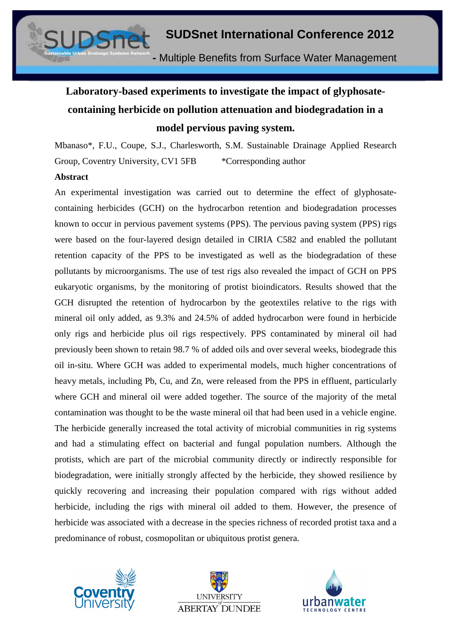# **Laboratory-based experiments to investigate the impact of glyphosatecontaining herbicide on pollution attenuation and biodegradation in a model pervious paving system.**

Mbanaso\*, F.U., Coupe, S.J., Charlesworth, S.M. Sustainable Drainage Applied Research Group, Coventry University, CV1 5FB \* Corresponding author

#### **Abstract**

An experimental investigation was carried out to determine the effect of glyphosatecontaining herbicides (GCH) on the hydrocarbon retention and biodegradation processes known to occur in pervious pavement systems (PPS). The pervious paving system (PPS) rigs were based on the four-layered design detailed in CIRIA C582 and enabled the pollutant retention capacity of the PPS to be investigated as well as the biodegradation of these pollutants by microorganisms. The use of test rigs also revealed the impact of GCH on PPS eukaryotic organisms, by the monitoring of protist bioindicators. Results showed that the GCH disrupted the retention of hydrocarbon by the geotextiles relative to the rigs with mineral oil only added, as 9.3% and 24.5% of added hydrocarbon were found in herbicide only rigs and herbicide plus oil rigs respectively. PPS contaminated by mineral oil had previously been shown to retain 98.7 % of added oils and over several weeks, biodegrade this oil in-situ. Where GCH was added to experimental models, much higher concentrations of heavy metals, including Pb, Cu, and Zn, were released from the PPS in effluent, particularly where GCH and mineral oil were added together. The source of the majority of the metal contamination was thought to be the waste mineral oil that had been used in a vehicle engine. The herbicide generally increased the total activity of microbial communities in rig systems and had a stimulating effect on bacterial and fungal population numbers. Although the protists, which are part of the microbial community directly or indirectly responsible for biodegradation, were initially strongly affected by the herbicide, they showed resilience by quickly recovering and increasing their population compared with rigs without added herbicide, including the rigs with mineral oil added to them. However, the presence of herbicide was associated with a decrease in the species richness of recorded protist taxa and a predominance of robust, cosmopolitan or ubiquitous protist genera.





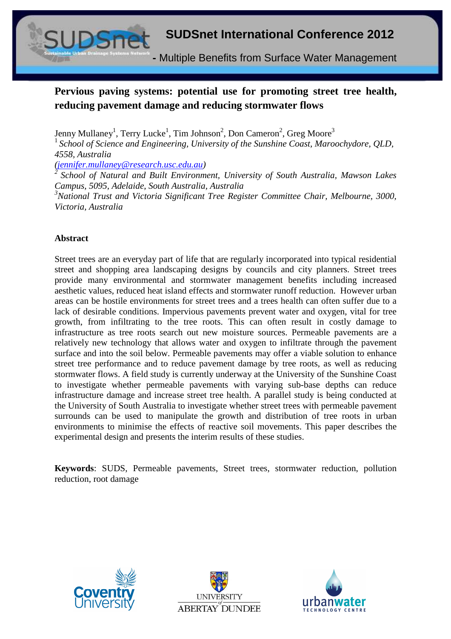

# **Pervious paving systems: potential use for promoting street tree health, reducing pavement damage and reducing stormwater flows**

Jenny Mullaney<sup>1</sup>, Terry Lucke<sup>1</sup>, Tim Johnson<sup>2</sup>, Don Cameron<sup>2</sup>, Greg Moore<sup>3</sup>

<sup>1</sup>*School of Science and Engineering, University of the Sunshine Coast, Maroochydore, QLD, 4558, Australia* 

*(jennifer.mullaney@research.usc.edu.au)* 

*<sup>2</sup>School of Natural and Built Environment, University of South Australia, Mawson Lakes Campus, 5095, Adelaide, South Australia, Australia*

*<sup>3</sup>National Trust and Victoria Significant Tree Register Committee Chair, Melbourne, 3000, Victoria, Australia* 

#### **Abstract**

Street trees are an everyday part of life that are regularly incorporated into typical residential street and shopping area landscaping designs by councils and city planners. Street trees provide many environmental and stormwater management benefits including increased aesthetic values, reduced heat island effects and stormwater runoff reduction. However urban areas can be hostile environments for street trees and a trees health can often suffer due to a lack of desirable conditions. Impervious pavements prevent water and oxygen, vital for tree growth, from infiltrating to the tree roots. This can often result in costly damage to infrastructure as tree roots search out new moisture sources. Permeable pavements are a relatively new technology that allows water and oxygen to infiltrate through the pavement surface and into the soil below. Permeable pavements may offer a viable solution to enhance street tree performance and to reduce pavement damage by tree roots, as well as reducing stormwater flows. A field study is currently underway at the University of the Sunshine Coast to investigate whether permeable pavements with varying sub-base depths can reduce infrastructure damage and increase street tree health. A parallel study is being conducted at the University of South Australia to investigate whether street trees with permeable pavement surrounds can be used to manipulate the growth and distribution of tree roots in urban environments to minimise the effects of reactive soil movements. This paper describes the experimental design and presents the interim results of these studies.

**Keywords**: SUDS, Permeable pavements, Street trees, stormwater reduction, pollution reduction, root damage





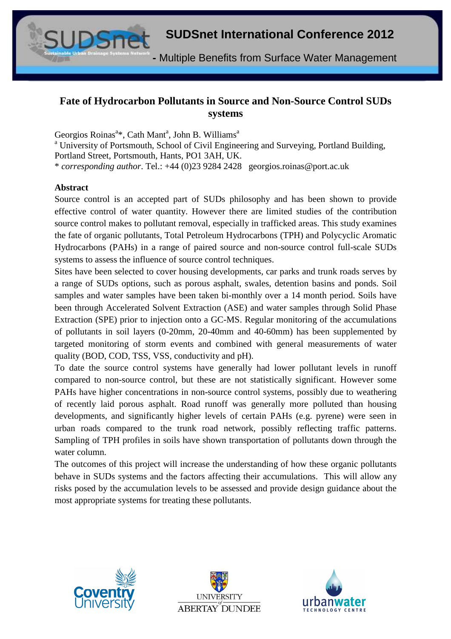**-** Multiple Benefits from Surface Water Management

### **Fate of Hydrocarbon Pollutants in Source and Non-Source Control SUDs systems**

Georgios Roinas<sup>a\*</sup>, Cath Mant<sup>a</sup>, John B. Williams<sup>a</sup>

<sup>a</sup> University of Portsmouth, School of Civil Engineering and Surveying, Portland Building,

Portland Street, Portsmouth, Hants, PO1 3AH, UK.

\* *corresponding author*. Tel.: +44 (0)23 9284 2428 georgios.roinas@port.ac.uk

#### **Abstract**

Source control is an accepted part of SUDs philosophy and has been shown to provide effective control of water quantity. However there are limited studies of the contribution source control makes to pollutant removal, especially in trafficked areas. This study examines the fate of organic pollutants, Total Petroleum Hydrocarbons (TPH) and Polycyclic Aromatic Hydrocarbons (PAHs) in a range of paired source and non-source control full-scale SUDs systems to assess the influence of source control techniques.

Sites have been selected to cover housing developments, car parks and trunk roads serves by a range of SUDs options, such as porous asphalt, swales, detention basins and ponds. Soil samples and water samples have been taken bi-monthly over a 14 month period. Soils have been through Accelerated Solvent Extraction (ASE) and water samples through Solid Phase Extraction (SPE) prior to injection onto a GC-MS. Regular monitoring of the accumulations of pollutants in soil layers (0-20mm, 20-40mm and 40-60mm) has been supplemented by targeted monitoring of storm events and combined with general measurements of water quality (BOD, COD, TSS, VSS, conductivity and pH).

To date the source control systems have generally had lower pollutant levels in runoff compared to non-source control, but these are not statistically significant. However some PAHs have higher concentrations in non-source control systems, possibly due to weathering of recently laid porous asphalt. Road runoff was generally more polluted than housing developments, and significantly higher levels of certain PAHs (e.g. pyrene) were seen in urban roads compared to the trunk road network, possibly reflecting traffic patterns. Sampling of TPH profiles in soils have shown transportation of pollutants down through the water column.

The outcomes of this project will increase the understanding of how these organic pollutants behave in SUDs systems and the factors affecting their accumulations. This will allow any risks posed by the accumulation levels to be assessed and provide design guidance about the most appropriate systems for treating these pollutants.





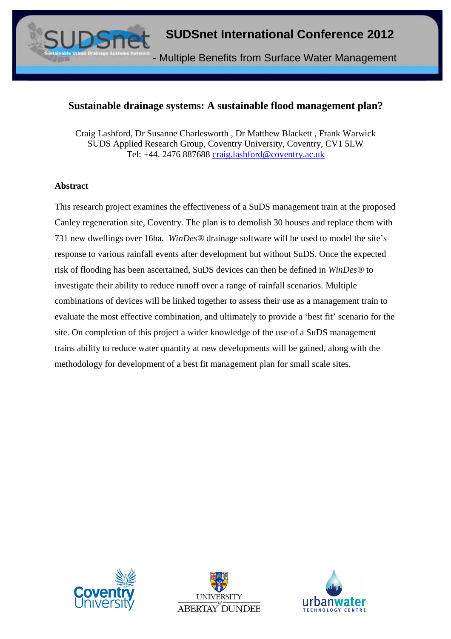

### **Sustainable drainage systems: A sustainable flood management plan?**

Craig Lashford, Dr Susanne Charlesworth , Dr Matthew Blackett , Frank Warwick SUDS Applied Research Group, Coventry University, Coventry, CV1 5LW Tel: +44. 2476 887688 craig.lashford@coventry.ac.uk

#### **Abstract**

This research project examines the effectiveness of a SuDS management train at the proposed Canley regeneration site, Coventry. The plan is to demolish 30 houses and replace them with 731 new dwellings over 16ha. *WinDes®* drainage software will be used to model the site's response to various rainfall events after development but without SuDS. Once the expected risk of flooding has been ascertained, SuDS devices can then be defined in *WinDes®* to investigate their ability to reduce runoff over a range of rainfall scenarios. Multiple combinations of devices will be linked together to assess their use as a management train to evaluate the most effective combination, and ultimately to provide a 'best fit' scenario for the site. On completion of this project a wider knowledge of the use of a SuDS management trains ability to reduce water quantity at new developments will be gained, along with the methodology for development of a best fit management plan for small scale sites.





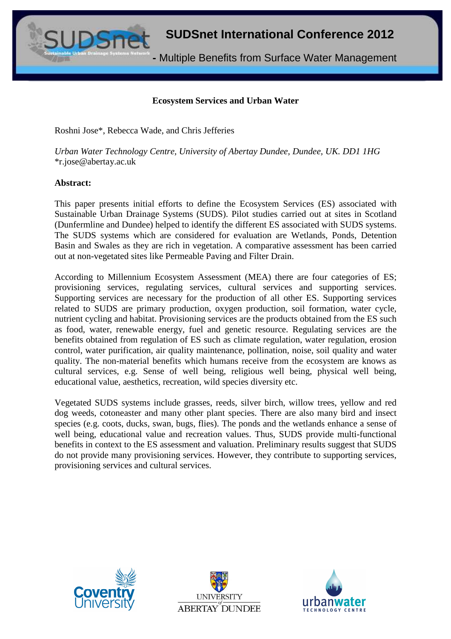**-** Multiple Benefits from Surface Water Management

#### **Ecosystem Services and Urban Water**

Roshni Jose\*, Rebecca Wade, and Chris Jefferies

*Urban Water Technology Centre, University of Abertay Dundee, Dundee, UK. DD1 1HG*  \*r.jose@abertay.ac.uk

#### **Abstract:**

This paper presents initial efforts to define the Ecosystem Services (ES) associated with Sustainable Urban Drainage Systems (SUDS). Pilot studies carried out at sites in Scotland (Dunfermline and Dundee) helped to identify the different ES associated with SUDS systems. The SUDS systems which are considered for evaluation are Wetlands, Ponds, Detention Basin and Swales as they are rich in vegetation. A comparative assessment has been carried out at non-vegetated sites like Permeable Paving and Filter Drain.

According to Millennium Ecosystem Assessment (MEA) there are four categories of ES; provisioning services, regulating services, cultural services and supporting services. Supporting services are necessary for the production of all other ES. Supporting services related to SUDS are primary production, oxygen production, soil formation, water cycle, nutrient cycling and habitat. Provisioning services are the products obtained from the ES such as food, water, renewable energy, fuel and genetic resource. Regulating services are the benefits obtained from regulation of ES such as climate regulation, water regulation, erosion control, water purification, air quality maintenance, pollination, noise, soil quality and water quality. The non-material benefits which humans receive from the ecosystem are knows as cultural services, e.g. Sense of well being, religious well being, physical well being, educational value, aesthetics, recreation, wild species diversity etc.

Vegetated SUDS systems include grasses, reeds, silver birch, willow trees, yellow and red dog weeds, cotoneaster and many other plant species. There are also many bird and insect species (e.g. coots, ducks, swan, bugs, flies). The ponds and the wetlands enhance a sense of well being, educational value and recreation values. Thus, SUDS provide multi-functional benefits in context to the ES assessment and valuation. Preliminary results suggest that SUDS do not provide many provisioning services. However, they contribute to supporting services, provisioning services and cultural services.





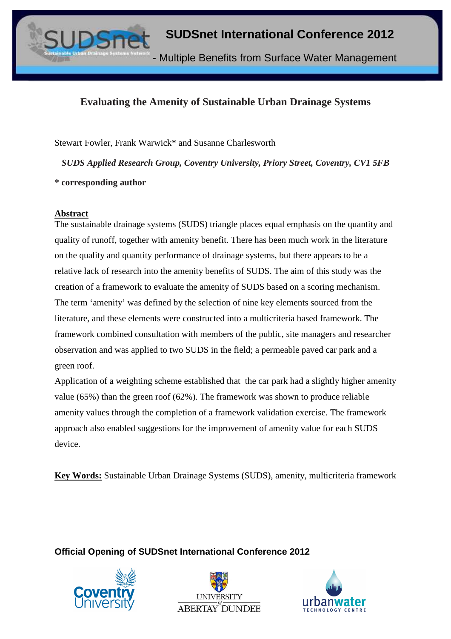

# **Evaluating the Amenity of Sustainable Urban Drainage Systems**

Stewart Fowler, Frank Warwick\* and Susanne Charlesworth

*SUDS Applied Research Group, Coventry University, Priory Street, Coventry, CV1 5FB* 

**\* corresponding author** 

#### **Abstract**

The sustainable drainage systems (SUDS) triangle places equal emphasis on the quantity and quality of runoff, together with amenity benefit. There has been much work in the literature on the quality and quantity performance of drainage systems, but there appears to be a relative lack of research into the amenity benefits of SUDS. The aim of this study was the creation of a framework to evaluate the amenity of SUDS based on a scoring mechanism. The term 'amenity' was defined by the selection of nine key elements sourced from the literature, and these elements were constructed into a multicriteria based framework. The framework combined consultation with members of the public, site managers and researcher observation and was applied to two SUDS in the field; a permeable paved car park and a green roof.

Application of a weighting scheme established that the car park had a slightly higher amenity value (65%) than the green roof (62%). The framework was shown to produce reliable amenity values through the completion of a framework validation exercise. The framework approach also enabled suggestions for the improvement of amenity value for each SUDS device.

**Key Words:** Sustainable Urban Drainage Systems (SUDS), amenity, multicriteria framework

**Official Opening of SUDSnet International Conference 2012** 





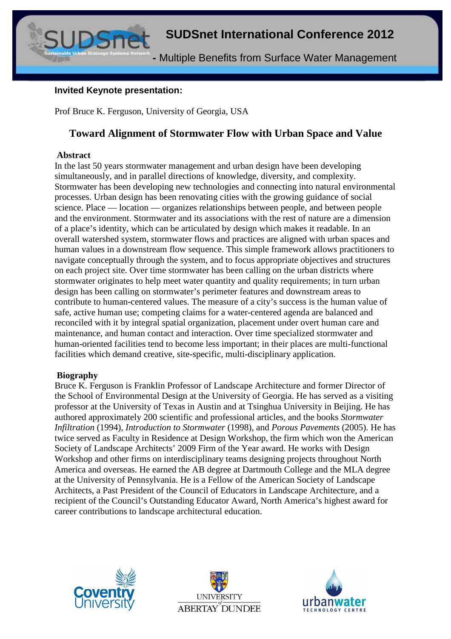

#### **Invited Keynote presentation:**

Prof Bruce K. Ferguson, University of Georgia, USA

# **Toward Alignment of Stormwater Flow with Urban Space and Value**

#### **Abstract**

In the last 50 years stormwater management and urban design have been developing simultaneously, and in parallel directions of knowledge, diversity, and complexity. Stormwater has been developing new technologies and connecting into natural environmental processes. Urban design has been renovating cities with the growing guidance of social science. Place — location — organizes relationships between people, and between people and the environment. Stormwater and its associations with the rest of nature are a dimension of a place's identity, which can be articulated by design which makes it readable. In an overall watershed system, stormwater flows and practices are aligned with urban spaces and human values in a downstream flow sequence. This simple framework allows practitioners to navigate conceptually through the system, and to focus appropriate objectives and structures on each project site. Over time stormwater has been calling on the urban districts where stormwater originates to help meet water quantity and quality requirements; in turn urban design has been calling on stormwater's perimeter features and downstream areas to contribute to human-centered values. The measure of a city's success is the human value of safe, active human use; competing claims for a water-centered agenda are balanced and reconciled with it by integral spatial organization, placement under overt human care and maintenance, and human contact and interaction. Over time specialized stormwater and human-oriented facilities tend to become less important; in their places are multi-functional facilities which demand creative, site-specific, multi-disciplinary application.

#### **Biography**

Bruce K. Ferguson is Franklin Professor of Landscape Architecture and former Director of the School of Environmental Design at the University of Georgia. He has served as a visiting professor at the University of Texas in Austin and at Tsinghua University in Beijing. He has authored approximately 200 scientific and professional articles, and the books *Stormwater Infiltration* (1994), *Introduction to Stormwater* (1998), and *Porous Pavements* (2005). He has twice served as Faculty in Residence at Design Workshop, the firm which won the American Society of Landscape Architects' 2009 Firm of the Year award. He works with Design Workshop and other firms on interdisciplinary teams designing projects throughout North America and overseas. He earned the AB degree at Dartmouth College and the MLA degree at the University of Pennsylvania. He is a Fellow of the American Society of Landscape Architects, a Past President of the Council of Educators in Landscape Architecture, and a recipient of the Council's Outstanding Educator Award, North America's highest award for career contributions to landscape architectural education.





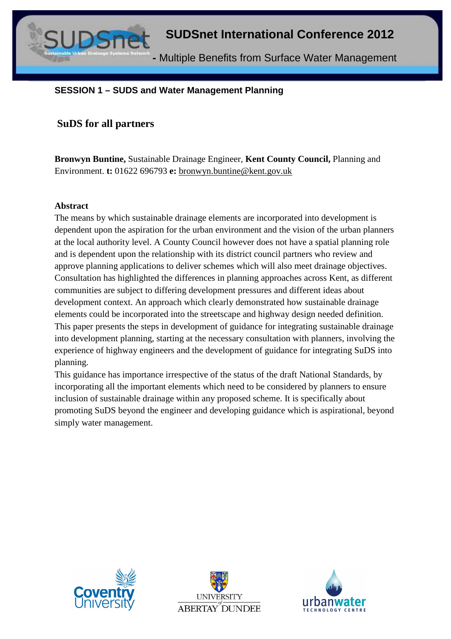

#### **SESSION 1 – SUDS and Water Management Planning**

#### **SuDS for all partners**

**Bronwyn Buntine,** Sustainable Drainage Engineer, **Kent County Council,** Planning and Environment. **t:** 01622 696793 **e:** bronwyn.buntine@kent.gov.uk

#### **Abstract**

The means by which sustainable drainage elements are incorporated into development is dependent upon the aspiration for the urban environment and the vision of the urban planners at the local authority level. A County Council however does not have a spatial planning role and is dependent upon the relationship with its district council partners who review and approve planning applications to deliver schemes which will also meet drainage objectives. Consultation has highlighted the differences in planning approaches across Kent, as different communities are subject to differing development pressures and different ideas about development context. An approach which clearly demonstrated how sustainable drainage elements could be incorporated into the streetscape and highway design needed definition. This paper presents the steps in development of guidance for integrating sustainable drainage into development planning, starting at the necessary consultation with planners, involving the experience of highway engineers and the development of guidance for integrating SuDS into planning.

This guidance has importance irrespective of the status of the draft National Standards, by incorporating all the important elements which need to be considered by planners to ensure inclusion of sustainable drainage within any proposed scheme. It is specifically about promoting SuDS beyond the engineer and developing guidance which is aspirational, beyond simply water management.





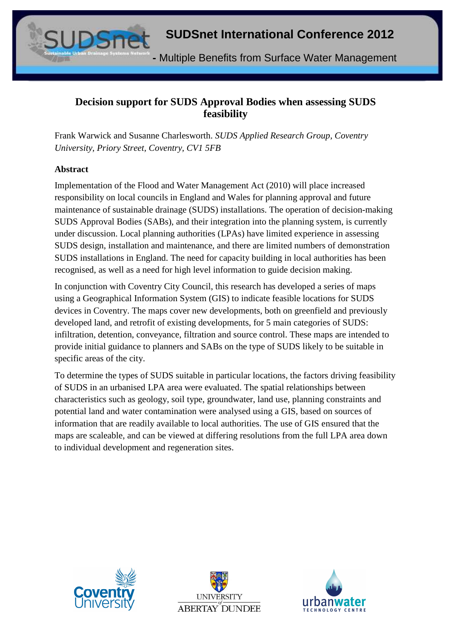**-** Multiple Benefits from Surface Water Management

# **Decision support for SUDS Approval Bodies when assessing SUDS feasibility**

Frank Warwick and Susanne Charlesworth. *SUDS Applied Research Group, Coventry University, Priory Street, Coventry, CV1 5FB*

#### **Abstract**

Implementation of the Flood and Water Management Act (2010) will place increased responsibility on local councils in England and Wales for planning approval and future maintenance of sustainable drainage (SUDS) installations. The operation of decision-making SUDS Approval Bodies (SABs), and their integration into the planning system, is currently under discussion. Local planning authorities (LPAs) have limited experience in assessing SUDS design, installation and maintenance, and there are limited numbers of demonstration SUDS installations in England. The need for capacity building in local authorities has been recognised, as well as a need for high level information to guide decision making.

In conjunction with Coventry City Council, this research has developed a series of maps using a Geographical Information System (GIS) to indicate feasible locations for SUDS devices in Coventry. The maps cover new developments, both on greenfield and previously developed land, and retrofit of existing developments, for 5 main categories of SUDS: infiltration, detention, conveyance, filtration and source control. These maps are intended to provide initial guidance to planners and SABs on the type of SUDS likely to be suitable in specific areas of the city.

To determine the types of SUDS suitable in particular locations, the factors driving feasibility of SUDS in an urbanised LPA area were evaluated. The spatial relationships between characteristics such as geology, soil type, groundwater, land use, planning constraints and potential land and water contamination were analysed using a GIS, based on sources of information that are readily available to local authorities. The use of GIS ensured that the maps are scaleable, and can be viewed at differing resolutions from the full LPA area down to individual development and regeneration sites.





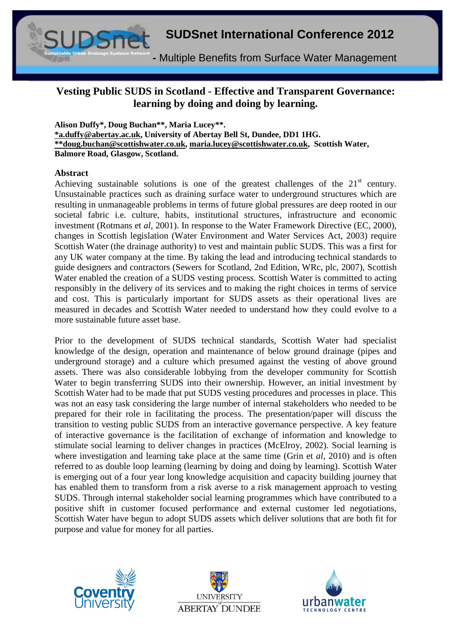

# **Vesting Public SUDS in Scotland - Effective and Transparent Governance: learning by doing and doing by learning.**

**Alison Duffy\*, Doug Buchan\*\*, Maria Lucey\*\*. \*a.duffy@abertay.ac.uk, University of Abertay Bell St, Dundee, DD1 1HG. \*\*doug.buchan@scottishwater.co.uk, maria.lucey@scottishwater.co.uk, Scottish Water, Balmore Road, Glasgow, Scotland.** 

#### **Abstract**

Achieving sustainable solutions is one of the greatest challenges of the  $21<sup>st</sup>$  century. Unsustainable practices such as draining surface water to underground structures which are resulting in unmanageable problems in terms of future global pressures are deep rooted in our societal fabric i.e. culture, habits, institutional structures, infrastructure and economic investment (Rotmans et *al,* 2001). In response to the Water Framework Directive (EC, 2000), changes in Scottish legislation (Water Environment and Water Services Act, 2003) require Scottish Water (the drainage authority) to vest and maintain public SUDS. This was a first for any UK water company at the time. By taking the lead and introducing technical standards to guide designers and contractors (Sewers for Scotland, 2nd Edition, WRc, plc, 2007), Scottish Water enabled the creation of a SUDS vesting process. Scottish Water is committed to acting responsibly in the delivery of its services and to making the right choices in terms of service and cost. This is particularly important for SUDS assets as their operational lives are measured in decades and Scottish Water needed to understand how they could evolve to a more sustainable future asset base.

Prior to the development of SUDS technical standards, Scottish Water had specialist knowledge of the design, operation and maintenance of below ground drainage (pipes and underground storage) and a culture which presumed against the vesting of above ground assets. There was also considerable lobbying from the developer community for Scottish Water to begin transferring SUDS into their ownership. However, an initial investment by Scottish Water had to be made that put SUDS vesting procedures and processes in place. This was not an easy task considering the large number of internal stakeholders who needed to be prepared for their role in facilitating the process. The presentation/paper will discuss the transition to vesting public SUDS from an interactive governance perspective. A key feature of interactive governance is the facilitation of exchange of information and knowledge to stimulate social learning to deliver changes in practices (McElroy, 2002). Social learning is where investigation and learning take place at the same time (Grin et *al*, 2010) and is often referred to as double loop learning (learning by doing and doing by learning). Scottish Water is emerging out of a four year long knowledge acquisition and capacity building journey that has enabled them to transform from a risk averse to a risk management approach to vesting SUDS. Through internal stakeholder social learning programmes which have contributed to a positive shift in customer focused performance and external customer led negotiations, Scottish Water have begun to adopt SUDS assets which deliver solutions that are both fit for purpose and value for money for all parties.





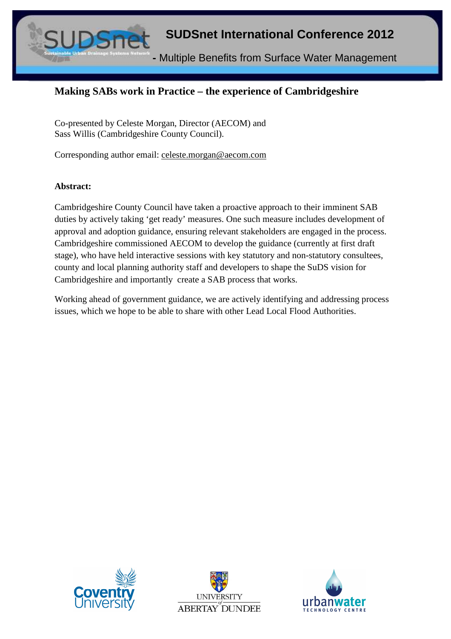

# **Making SABs work in Practice – the experience of Cambridgeshire**

Co-presented by Celeste Morgan, Director (AECOM) and Sass Willis (Cambridgeshire County Council).

Corresponding author email: celeste.morgan@aecom.com

#### **Abstract:**

Cambridgeshire County Council have taken a proactive approach to their imminent SAB duties by actively taking 'get ready' measures. One such measure includes development of approval and adoption guidance, ensuring relevant stakeholders are engaged in the process. Cambridgeshire commissioned AECOM to develop the guidance (currently at first draft stage), who have held interactive sessions with key statutory and non-statutory consultees, county and local planning authority staff and developers to shape the SuDS vision for Cambridgeshire and importantly create a SAB process that works.

Working ahead of government guidance, we are actively identifying and addressing process issues, which we hope to be able to share with other Lead Local Flood Authorities.





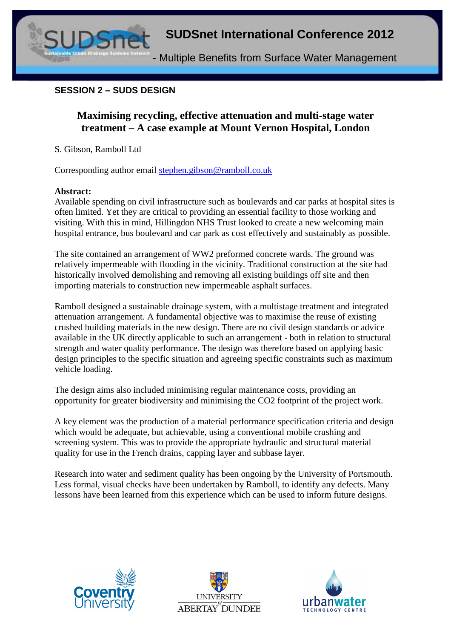

#### **SESSION 2 – SUDS DESIGN**

# **Maximising recycling, effective attenuation and multi-stage water treatment – A case example at Mount Vernon Hospital, London**

S. Gibson, Ramboll Ltd

Corresponding author email stephen.gibson@ramboll.co.uk

#### **Abstract:**

Available spending on civil infrastructure such as boulevards and car parks at hospital sites is often limited. Yet they are critical to providing an essential facility to those working and visiting. With this in mind, Hillingdon NHS Trust looked to create a new welcoming main hospital entrance, bus boulevard and car park as cost effectively and sustainably as possible.

The site contained an arrangement of WW2 preformed concrete wards. The ground was relatively impermeable with flooding in the vicinity. Traditional construction at the site had historically involved demolishing and removing all existing buildings off site and then importing materials to construction new impermeable asphalt surfaces.

Ramboll designed a sustainable drainage system, with a multistage treatment and integrated attenuation arrangement. A fundamental objective was to maximise the reuse of existing crushed building materials in the new design. There are no civil design standards or advice available in the UK directly applicable to such an arrangement - both in relation to structural strength and water quality performance. The design was therefore based on applying basic design principles to the specific situation and agreeing specific constraints such as maximum vehicle loading.

The design aims also included minimising regular maintenance costs, providing an opportunity for greater biodiversity and minimising the CO2 footprint of the project work.

A key element was the production of a material performance specification criteria and design which would be adequate, but achievable, using a conventional mobile crushing and screening system. This was to provide the appropriate hydraulic and structural material quality for use in the French drains, capping layer and subbase layer.

Research into water and sediment quality has been ongoing by the University of Portsmouth. Less formal, visual checks have been undertaken by Ramboll, to identify any defects. Many lessons have been learned from this experience which can be used to inform future designs.





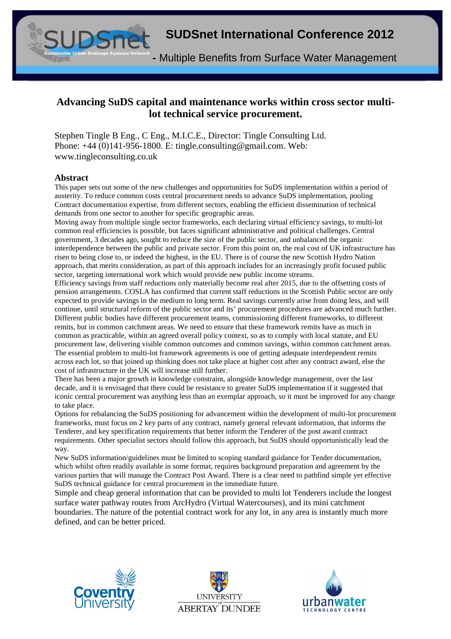

# **Advancing SuDS capital and maintenance works within cross sector multilot technical service procurement.**

Stephen Tingle B Eng., C Eng., M.I.C.E., Director: Tingle Consulting Ltd. Phone: +44 (0)141-956-1800. E: tingle.consulting@gmail.com. Web: www.tingleconsulting.co.uk

#### **Abstract**

This paper sets out some of the new challenges and opportunities for SuDS implementation within a period of austerity. To reduce common costs central procurement needs to advance SuDS implementation, pooling Contract documentation expertise, from different sectors, enabling the efficient dissemination of technical demands from one sector to another for specific geographic areas.

Moving away from multiple single sector frameworks, each declaring virtual efficiency savings, to multi-lot common real efficiencies is possible, but faces significant administrative and political challenges. Central government, 3 decades ago, sought to reduce the size of the public sector, and unbalanced the organic interdependence between the public and private sector. From this point on, the real cost of UK infrastructure has risen to being close to, or indeed the highest, in the EU. There is of course the new Scottish Hydro Nation approach, that merits consideration, as part of this approach includes for an increasingly profit focused public sector, targeting international work which would provide new public income streams.

Efficiency savings from staff reductions only materially become real after 2015, due to the offsetting costs of pension arrangements. COSLA has confirmed that current staff reductions in the Scottish Public sector are only expected to provide savings in the medium to long term. Real savings currently arise from doing less, and will continue, until structural reform of the public sector and its' procurement procedures are advanced much further. Different public bodies have different procurement teams, commissioning different frameworks, to different remits, but in common catchment areas. We need to ensure that these framework remits have as much in common as practicable, within an agreed overall policy context, so as to comply with local statute, and EU procurement law, delivering visible common outcomes and common savings, within common catchment areas. The essential problem to multi-lot framework agreements is one of getting adequate interdependent remits across each lot, so that joined up thinking does not take place at higher cost after any contract award, else the cost of infrastructure in the UK will increase still further.

There has been a major growth in knowledge constraint, alongside knowledge management, over the last decade, and it is envisaged that there could be resistance to greater SuDS implementation if it suggested that iconic central procurement was anything less than an exemplar approach, so it must be improved for any change to take place.

Options for rebalancing the SuDS positioning for advancement within the development of multi-lot procurement frameworks, must focus on 2 key parts of any contract, namely general relevant information, that informs the Tenderer, and key specification requirements that better inform the Tenderer of the post award contract requirements. Other specialist sectors should follow this approach, but SuDS should opportunistically lead the way.

New SuDS information/guidelines must be limited to scoping standard guidance for Tender documentation, which whilst often readily available in some format, requires background preparation and agreement by the various parties that will manage the Contract Post Award. There is a clear need to pathfind simple yet effective SuDS technical guidance for central procurement in the immediate future.

Simple and cheap general information that can be provided to multi lot Tenderers include the longest surface water pathway routes from ArcHydro (Virtual Watercourses), and its mini catchment boundaries. The nature of the potential contract work for any lot, in any area is instantly much more defined, and can be better priced.





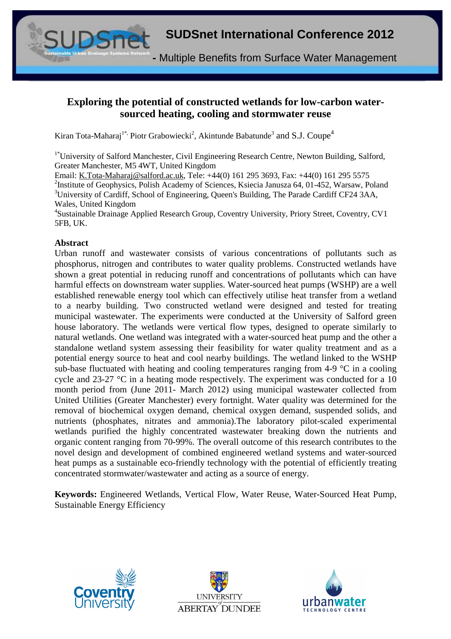

# **Exploring the potential of constructed wetlands for low-carbon watersourced heating, cooling and stormwater reuse**

Kiran Tota-Maharaj<sup>1\*,</sup> Piotr Grabowiecki<sup>2</sup>, Akintunde Babatunde<sup>3</sup> and S.J. Coupe<sup>4</sup>

<sup>1\*</sup>University of Salford Manchester, Civil Engineering Research Centre, Newton Building, Salford, Greater Manchester, M5 4WT, United Kingdom

Email: K.Tota-Maharaj@salford.ac.uk, Tele: +44(0) 161 295 3693, Fax: +44(0) 161 295 5575 <sup>2</sup>Institute of Geophysics, Polish Academy of Sciences, Ksiecia Janusza 64, 01-452, Warsaw, Poland <sup>3</sup>University of Cardiff, School of Engineering, Queen's Building, The Parade Cardiff CF24 3AA, Wales, United Kingdom

4 Sustainable Drainage Applied Research Group, Coventry University, Priory Street, Coventry, CV1 5FB, UK.

#### **Abstract**

Urban runoff and wastewater consists of various concentrations of pollutants such as phosphorus, nitrogen and contributes to water quality problems. Constructed wetlands have shown a great potential in reducing runoff and concentrations of pollutants which can have harmful effects on downstream water supplies. Water-sourced heat pumps (WSHP) are a well established renewable energy tool which can effectively utilise heat transfer from a wetland to a nearby building. Two constructed wetland were designed and tested for treating municipal wastewater. The experiments were conducted at the University of Salford green house laboratory. The wetlands were vertical flow types, designed to operate similarly to natural wetlands. One wetland was integrated with a water-sourced heat pump and the other a standalone wetland system assessing their feasibility for water quality treatment and as a potential energy source to heat and cool nearby buildings. The wetland linked to the WSHP sub-base fluctuated with heating and cooling temperatures ranging from 4-9 °C in a cooling cycle and 23-27 °C in a heating mode respectively. The experiment was conducted for a 10 month period from (June 2011- March 2012) using municipal wastewater collected from United Utilities (Greater Manchester) every fortnight. Water quality was determined for the removal of biochemical oxygen demand, chemical oxygen demand, suspended solids, and nutrients (phosphates, nitrates and ammonia).The laboratory pilot-scaled experimental wetlands purified the highly concentrated wastewater breaking down the nutrients and organic content ranging from 70-99%. The overall outcome of this research contributes to the novel design and development of combined engineered wetland systems and water-sourced heat pumps as a sustainable eco-friendly technology with the potential of efficiently treating concentrated stormwater/wastewater and acting as a source of energy.

**Keywords:** Engineered Wetlands, Vertical Flow, Water Reuse, Water-Sourced Heat Pump, Sustainable Energy Efficiency





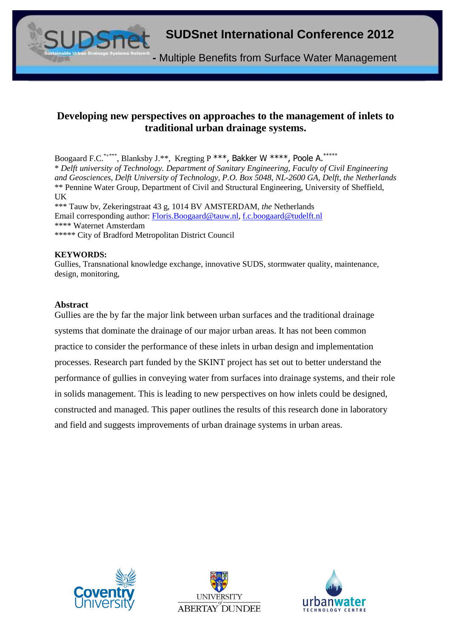

#### **Developing new perspectives on approaches to the management of inlets to traditional urban drainage systems.**

Boogaard F.C.\*+\*\*\*\*, Blanksby J.\*\*, Kregting P \*\*\*, Bakker W \*\*\*\*, Poole A.\*\*\*\*\* \* *Delft university of Technology. Department of Sanitary Engineering, Faculty of Civil Engineering and Geosciences, Delft University of Technology, P.O. Box 5048, NL-2600 GA, Delft, the Netherlands* \*\* Pennine Water Group, Department of Civil and Structural Engineering, University of Sheffield, UK

\*\*\* Tauw bv, Zekeringstraat 43 g, 1014 BV AMSTERDAM, *the* Netherlands Email corresponding author: Floris.Boogaard@tauw.nl, f.c.boogaard@tudelft.nl \*\*\*\* Waternet Amsterdam \*\*\*\*\* City of Bradford Metropolitan District Council

#### **KEYWORDS:**

Gullies, Transnational knowledge exchange, innovative SUDS, stormwater quality, maintenance, design, monitoring,

#### **Abstract**

Gullies are the by far the major link between urban surfaces and the traditional drainage systems that dominate the drainage of our major urban areas. It has not been common practice to consider the performance of these inlets in urban design and implementation processes. Research part funded by the SKINT project has set out to better understand the performance of gullies in conveying water from surfaces into drainage systems, and their role in solids management. This is leading to new perspectives on how inlets could be designed, constructed and managed. This paper outlines the results of this research done in laboratory and field and suggests improvements of urban drainage systems in urban areas.





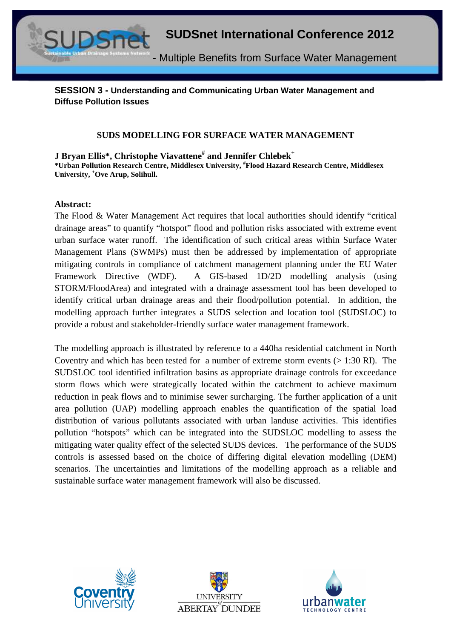

**SESSION 3 - Understanding and Communicating Urban Water Management and Diffuse Pollution Issues** 

#### **SUDS MODELLING FOR SURFACE WATER MANAGEMENT**

**J Bryan Ellis\*, Christophe Viavattene# and Jennifer Chlebek<sup>+</sup> \*Urban Pollution Research Centre, Middlesex University, #Flood Hazard Research Centre, Middlesex University, <sup>+</sup>Ove Arup, Solihull.**

#### **Abstract:**

The Flood & Water Management Act requires that local authorities should identify "critical drainage areas" to quantify "hotspot" flood and pollution risks associated with extreme event urban surface water runoff. The identification of such critical areas within Surface Water Management Plans (SWMPs) must then be addressed by implementation of appropriate mitigating controls in compliance of catchment management planning under the EU Water Framework Directive (WDF). A GIS-based 1D/2D modelling analysis (using STORM/FloodArea) and integrated with a drainage assessment tool has been developed to identify critical urban drainage areas and their flood/pollution potential. In addition, the modelling approach further integrates a SUDS selection and location tool (SUDSLOC) to provide a robust and stakeholder-friendly surface water management framework.

The modelling approach is illustrated by reference to a 440ha residential catchment in North Coventry and which has been tested for a number of extreme storm events  $(> 1:30 \text{ RI})$ . The SUDSLOC tool identified infiltration basins as appropriate drainage controls for exceedance storm flows which were strategically located within the catchment to achieve maximum reduction in peak flows and to minimise sewer surcharging. The further application of a unit area pollution (UAP) modelling approach enables the quantification of the spatial load distribution of various pollutants associated with urban landuse activities. This identifies pollution "hotspots" which can be integrated into the SUDSLOC modelling to assess the mitigating water quality effect of the selected SUDS devices. The performance of the SUDS controls is assessed based on the choice of differing digital elevation modelling (DEM) scenarios. The uncertainties and limitations of the modelling approach as a reliable and sustainable surface water management framework will also be discussed.





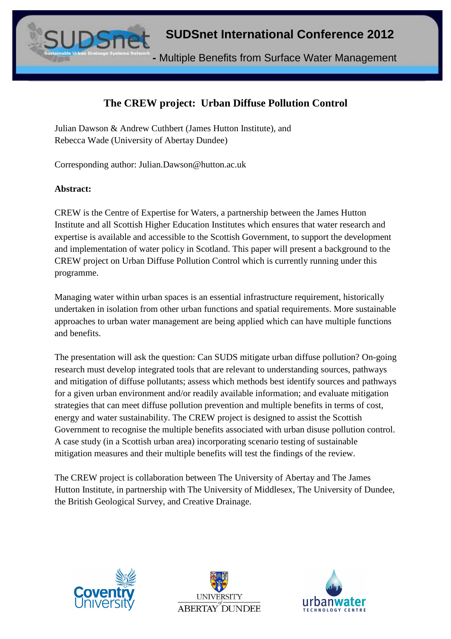**-** Multiple Benefits from Surface Water Management

# **The CREW project: Urban Diffuse Pollution Control**

Julian Dawson & Andrew Cuthbert (James Hutton Institute), and Rebecca Wade (University of Abertay Dundee)

Corresponding author: Julian.Dawson@hutton.ac.uk

#### **Abstract:**

CREW is the Centre of Expertise for Waters, a partnership between the James Hutton Institute and all Scottish Higher Education Institutes which ensures that water research and expertise is available and accessible to the Scottish Government, to support the development and implementation of water policy in Scotland. This paper will present a background to the CREW project on Urban Diffuse Pollution Control which is currently running under this programme.

Managing water within urban spaces is an essential infrastructure requirement, historically undertaken in isolation from other urban functions and spatial requirements. More sustainable approaches to urban water management are being applied which can have multiple functions and benefits.

The presentation will ask the question: Can SUDS mitigate urban diffuse pollution? On-going research must develop integrated tools that are relevant to understanding sources, pathways and mitigation of diffuse pollutants; assess which methods best identify sources and pathways for a given urban environment and/or readily available information; and evaluate mitigation strategies that can meet diffuse pollution prevention and multiple benefits in terms of cost, energy and water sustainability. The CREW project is designed to assist the Scottish Government to recognise the multiple benefits associated with urban disuse pollution control. A case study (in a Scottish urban area) incorporating scenario testing of sustainable mitigation measures and their multiple benefits will test the findings of the review.

The CREW project is collaboration between The University of Abertay and The James Hutton Institute, in partnership with The University of Middlesex, The University of Dundee, the British Geological Survey, and Creative Drainage.





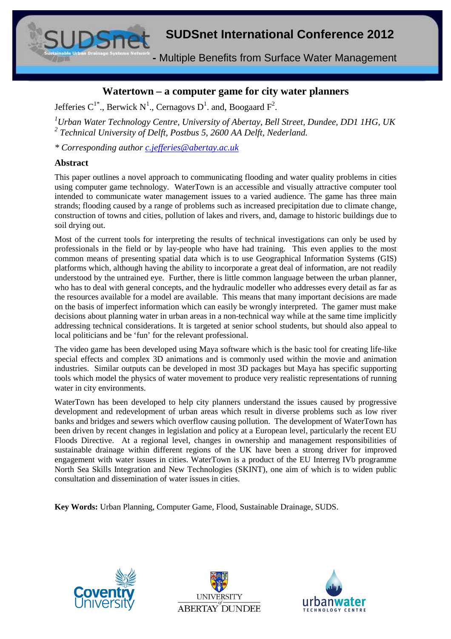**-** Multiple Benefits from Surface Water Management

#### **Watertown – a computer game for city water planners**

Jefferies C<sup>1\*</sup>., Berwick N<sup>1</sup>., Cernagovs D<sup>1</sup>. and, Boogaard F<sup>2</sup>.

*<sup>1</sup>Urban Water Technology Centre, University of Abertay, Bell Street, Dundee, DD1 1HG, UK*  <sup>2</sup> Technical University of Delft, Postbus 5, 2600 AA Delft, Nederland.

*\* Corresponding author c.jefferies@abertay.ac.uk*

#### **Abstract**

This paper outlines a novel approach to communicating flooding and water quality problems in cities using computer game technology. WaterTown is an accessible and visually attractive computer tool intended to communicate water management issues to a varied audience. The game has three main strands; flooding caused by a range of problems such as increased precipitation due to climate change, construction of towns and cities, pollution of lakes and rivers, and, damage to historic buildings due to soil drying out.

Most of the current tools for interpreting the results of technical investigations can only be used by professionals in the field or by lay-people who have had training. This even applies to the most common means of presenting spatial data which is to use Geographical Information Systems (GIS) platforms which, although having the ability to incorporate a great deal of information, are not readily understood by the untrained eye. Further, there is little common language between the urban planner, who has to deal with general concepts, and the hydraulic modeller who addresses every detail as far as the resources available for a model are available. This means that many important decisions are made on the basis of imperfect information which can easily be wrongly interpreted. The gamer must make decisions about planning water in urban areas in a non-technical way while at the same time implicitly addressing technical considerations. It is targeted at senior school students, but should also appeal to local politicians and be 'fun' for the relevant professional.

The video game has been developed using Maya software which is the basic tool for creating life-like special effects and complex 3D animations and is commonly used within the movie and animation industries. Similar outputs can be developed in most 3D packages but Maya has specific supporting tools which model the physics of water movement to produce very realistic representations of running water in city environments.

WaterTown has been developed to help city planners understand the issues caused by progressive development and redevelopment of urban areas which result in diverse problems such as low river banks and bridges and sewers which overflow causing pollution. The development of WaterTown has been driven by recent changes in legislation and policy at a European level, particularly the recent EU Floods Directive. At a regional level, changes in ownership and management responsibilities of sustainable drainage within different regions of the UK have been a strong driver for improved engagement with water issues in cities. WaterTown is a product of the EU Interreg IVb programme North Sea Skills Integration and New Technologies (SKINT), one aim of which is to widen public consultation and dissemination of water issues in cities.

**Key Words:** Urban Planning, Computer Game, Flood, Sustainable Drainage, SUDS.





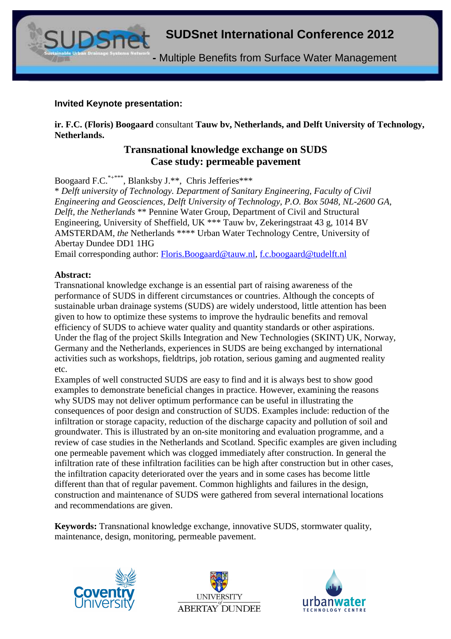**-** Multiple Benefits from Surface Water Management

#### **Invited Keynote presentation:**

**ir. F.C. (Floris) Boogaard** consultant **Tauw bv, Netherlands, and Delft University of Technology, Netherlands.**

#### **Transnational knowledge exchange on SUDS Case study: permeable pavement**

Boogaard F.C.<sup>\*+\*\*\*</sup>, Blanksby J.\*\*, Chris Jefferies\*\*\*

\* *Delft university of Technology. Department of Sanitary Engineering, Faculty of Civil Engineering and Geosciences, Delft University of Technology, P.O. Box 5048, NL-2600 GA, Delft, the Netherlands* \*\* Pennine Water Group, Department of Civil and Structural Engineering, University of Sheffield, UK \*\*\* Tauw bv, Zekeringstraat 43 g, 1014 BV AMSTERDAM, *the* Netherlands \*\*\*\* Urban Water Technology Centre, University of Abertay Dundee DD1 1HG

Email corresponding author: Floris.Boogaard@tauw.nl, f.c.boogaard@tudelft.nl

#### **Abstract:**

Transnational knowledge exchange is an essential part of raising awareness of the performance of SUDS in different circumstances or countries. Although the concepts of sustainable urban drainage systems (SUDS) are widely understood, little attention has been given to how to optimize these systems to improve the hydraulic benefits and removal efficiency of SUDS to achieve water quality and quantity standards or other aspirations. Under the flag of the project Skills Integration and New Technologies (SKINT) UK, Norway, Germany and the Netherlands, experiences in SUDS are being exchanged by international activities such as workshops, fieldtrips, job rotation, serious gaming and augmented reality etc.

Examples of well constructed SUDS are easy to find and it is always best to show good examples to demonstrate beneficial changes in practice. However, examining the reasons why SUDS may not deliver optimum performance can be useful in illustrating the consequences of poor design and construction of SUDS. Examples include: reduction of the infiltration or storage capacity, reduction of the discharge capacity and pollution of soil and groundwater. This is illustrated by an on-site monitoring and evaluation programme, and a review of case studies in the Netherlands and Scotland. Specific examples are given including one permeable pavement which was clogged immediately after construction. In general the infiltration rate of these infiltration facilities can be high after construction but in other cases, the infiltration capacity deteriorated over the years and in some cases has become little different than that of regular pavement. Common highlights and failures in the design, construction and maintenance of SUDS were gathered from several international locations and recommendations are given.

**Keywords:** Transnational knowledge exchange, innovative SUDS, stormwater quality, maintenance, design, monitoring, permeable pavement.





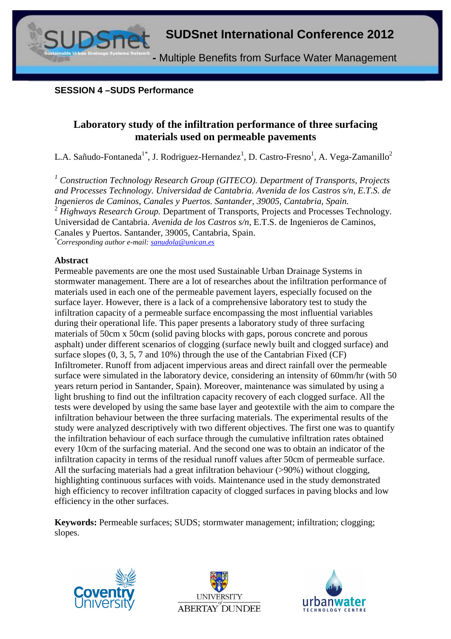#### **SESSION 4 –SUDS Performance**

# **Laboratory study of the infiltration performance of three surfacing materials used on permeable pavements**

L.A. Sañudo-Fontaneda<sup>1\*</sup>, J. Rodriguez-Hernandez<sup>1</sup>, D. Castro-Fresno<sup>1</sup>, A. Vega-Zamanillo<sup>2</sup>

<sup>1</sup> Construction Technology Research Group (GITECO). Department of Transports, Projects *and Processes Technology. Universidad de Cantabria. Avenida de los Castros s/n, E.T.S. de Ingenieros de Caminos, Canales y Puertos. Santander, 39005, Cantabria, Spain.*  <sup>2</sup> *Highways Research Group.* Department of Transports, Projects and Processes Technology. Universidad de Cantabria. *Avenida de los Castros s/n,* E.T.S. de Ingenieros de Caminos, Canales y Puertos. Santander, 39005, Cantabria, Spain. *\*Corresponding author e-mail: sanudola@unican.es*

#### **Abstract**

Permeable pavements are one the most used Sustainable Urban Drainage Systems in stormwater management. There are a lot of researches about the infiltration performance of materials used in each one of the permeable pavement layers, especially focused on the surface layer. However, there is a lack of a comprehensive laboratory test to study the infiltration capacity of a permeable surface encompassing the most influential variables during their operational life. This paper presents a laboratory study of three surfacing materials of 50cm x 50cm (solid paving blocks with gaps, porous concrete and porous asphalt) under different scenarios of clogging (surface newly built and clogged surface) and surface slopes  $(0, 3, 5, 7, 7, 100)$  through the use of the Cantabrian Fixed (CF) Infiltrometer. Runoff from adjacent impervious areas and direct rainfall over the permeable surface were simulated in the laboratory device, considering an intensity of 60mm/hr (with 50 years return period in Santander, Spain). Moreover, maintenance was simulated by using a light brushing to find out the infiltration capacity recovery of each clogged surface. All the tests were developed by using the same base layer and geotextile with the aim to compare the infiltration behaviour between the three surfacing materials. The experimental results of the study were analyzed descriptively with two different objectives. The first one was to quantify the infiltration behaviour of each surface through the cumulative infiltration rates obtained every 10cm of the surfacing material. And the second one was to obtain an indicator of the infiltration capacity in terms of the residual runoff values after 50cm of permeable surface. All the surfacing materials had a great infiltration behaviour (>90%) without clogging, highlighting continuous surfaces with voids. Maintenance used in the study demonstrated high efficiency to recover infiltration capacity of clogged surfaces in paving blocks and low efficiency in the other surfaces.

**Keywords:** Permeable surfaces; SUDS; stormwater management; infiltration; clogging; slopes.





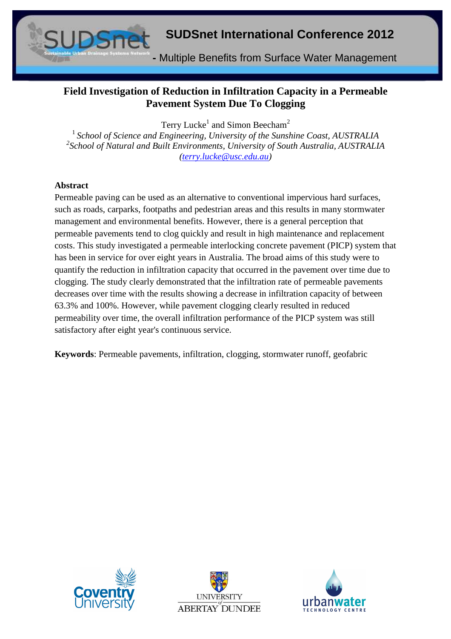

# **Field Investigation of Reduction in Infiltration Capacity in a Permeable Pavement System Due To Clogging**

Terry Lucke<sup>1</sup> and Simon Beecham<sup>2</sup>

<sup>1</sup> School of Science and Engineering, University of the Sunshine Coast, AUSTRALIA *2 School of Natural and Built Environments, University of South Australia, AUSTRALIA (terry.lucke@usc.edu.au)* 

#### **Abstract**

Permeable paving can be used as an alternative to conventional impervious hard surfaces, such as roads, carparks, footpaths and pedestrian areas and this results in many stormwater management and environmental benefits. However, there is a general perception that permeable pavements tend to clog quickly and result in high maintenance and replacement costs. This study investigated a permeable interlocking concrete pavement (PICP) system that has been in service for over eight years in Australia. The broad aims of this study were to quantify the reduction in infiltration capacity that occurred in the pavement over time due to clogging. The study clearly demonstrated that the infiltration rate of permeable pavements decreases over time with the results showing a decrease in infiltration capacity of between 63.3% and 100%. However, while pavement clogging clearly resulted in reduced permeability over time, the overall infiltration performance of the PICP system was still satisfactory after eight year's continuous service.

**Keywords**: Permeable pavements, infiltration, clogging, stormwater runoff, geofabric





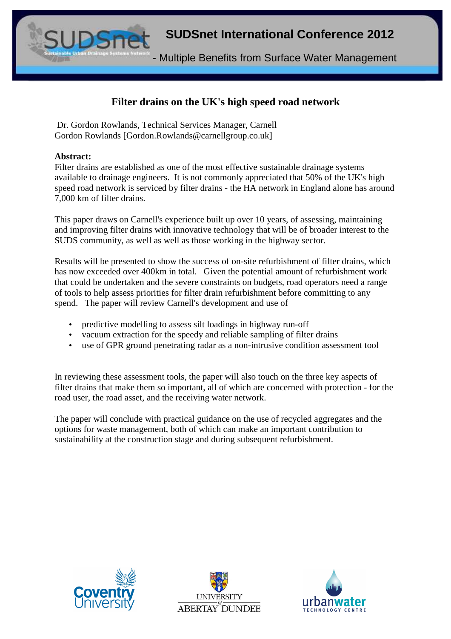**-** Multiple Benefits from Surface Water Management

# **Filter drains on the UK's high speed road network**

 Dr. Gordon Rowlands, Technical Services Manager, Carnell Gordon Rowlands [Gordon.Rowlands@carnellgroup.co.uk]

#### **Abstract:**

Filter drains are established as one of the most effective sustainable drainage systems available to drainage engineers. It is not commonly appreciated that 50% of the UK's high speed road network is serviced by filter drains - the HA network in England alone has around 7,000 km of filter drains.

This paper draws on Carnell's experience built up over 10 years, of assessing, maintaining and improving filter drains with innovative technology that will be of broader interest to the SUDS community, as well as well as those working in the highway sector.

Results will be presented to show the success of on-site refurbishment of filter drains, which has now exceeded over 400km in total. Given the potential amount of refurbishment work that could be undertaken and the severe constraints on budgets, road operators need a range of tools to help assess priorities for filter drain refurbishment before committing to any spend. The paper will review Carnell's development and use of

- predictive modelling to assess silt loadings in highway run-off
- vacuum extraction for the speedy and reliable sampling of filter drains
- use of GPR ground penetrating radar as a non-intrusive condition assessment tool

In reviewing these assessment tools, the paper will also touch on the three key aspects of filter drains that make them so important, all of which are concerned with protection - for the road user, the road asset, and the receiving water network.

The paper will conclude with practical guidance on the use of recycled aggregates and the options for waste management, both of which can make an important contribution to sustainability at the construction stage and during subsequent refurbishment.





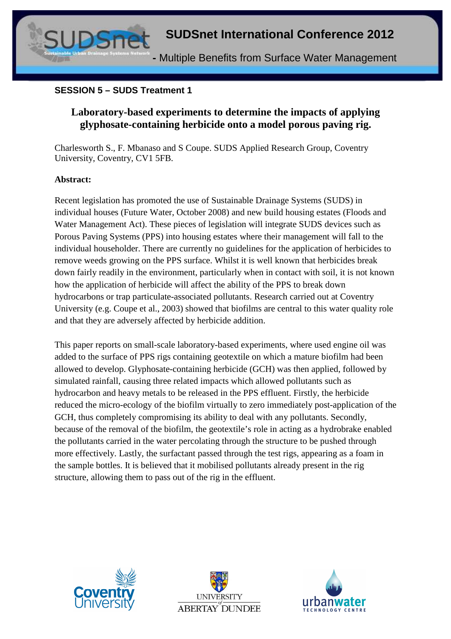

#### **SESSION 5 – SUDS Treatment 1**

# **Laboratory-based experiments to determine the impacts of applying glyphosate-containing herbicide onto a model porous paving rig.**

Charlesworth S., F. Mbanaso and S Coupe. SUDS Applied Research Group, Coventry University, Coventry, CV1 5FB.

#### **Abstract:**

Recent legislation has promoted the use of Sustainable Drainage Systems (SUDS) in individual houses (Future Water, October 2008) and new build housing estates (Floods and Water Management Act). These pieces of legislation will integrate SUDS devices such as Porous Paving Systems (PPS) into housing estates where their management will fall to the individual householder. There are currently no guidelines for the application of herbicides to remove weeds growing on the PPS surface. Whilst it is well known that herbicides break down fairly readily in the environment, particularly when in contact with soil, it is not known how the application of herbicide will affect the ability of the PPS to break down hydrocarbons or trap particulate-associated pollutants. Research carried out at Coventry University (e.g. Coupe et al., 2003) showed that biofilms are central to this water quality role and that they are adversely affected by herbicide addition.

This paper reports on small-scale laboratory-based experiments, where used engine oil was added to the surface of PPS rigs containing geotextile on which a mature biofilm had been allowed to develop. Glyphosate-containing herbicide (GCH) was then applied, followed by simulated rainfall, causing three related impacts which allowed pollutants such as hydrocarbon and heavy metals to be released in the PPS effluent. Firstly, the herbicide reduced the micro-ecology of the biofilm virtually to zero immediately post-application of the GCH, thus completely compromising its ability to deal with any pollutants. Secondly, because of the removal of the biofilm, the geotextile's role in acting as a hydrobrake enabled the pollutants carried in the water percolating through the structure to be pushed through more effectively. Lastly, the surfactant passed through the test rigs, appearing as a foam in the sample bottles. It is believed that it mobilised pollutants already present in the rig structure, allowing them to pass out of the rig in the effluent.





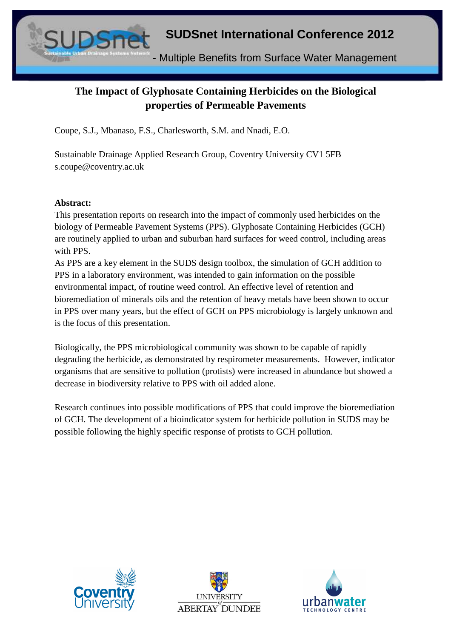# **SUDSnet International Conference 2012 -** Multiple Benefits from Surface Water Management

# **The Impact of Glyphosate Containing Herbicides on the Biological properties of Permeable Pavements**

Coupe, S.J., Mbanaso, F.S., Charlesworth, S.M. and Nnadi, E.O.

Sustainable Drainage Applied Research Group, Coventry University CV1 5FB s.coupe@coventry.ac.uk

#### **Abstract:**

This presentation reports on research into the impact of commonly used herbicides on the biology of Permeable Pavement Systems (PPS). Glyphosate Containing Herbicides (GCH) are routinely applied to urban and suburban hard surfaces for weed control, including areas with PPS.

As PPS are a key element in the SUDS design toolbox, the simulation of GCH addition to PPS in a laboratory environment, was intended to gain information on the possible environmental impact, of routine weed control. An effective level of retention and bioremediation of minerals oils and the retention of heavy metals have been shown to occur in PPS over many years, but the effect of GCH on PPS microbiology is largely unknown and is the focus of this presentation.

Biologically, the PPS microbiological community was shown to be capable of rapidly degrading the herbicide, as demonstrated by respirometer measurements. However, indicator organisms that are sensitive to pollution (protists) were increased in abundance but showed a decrease in biodiversity relative to PPS with oil added alone.

Research continues into possible modifications of PPS that could improve the bioremediation of GCH. The development of a bioindicator system for herbicide pollution in SUDS may be possible following the highly specific response of protists to GCH pollution.





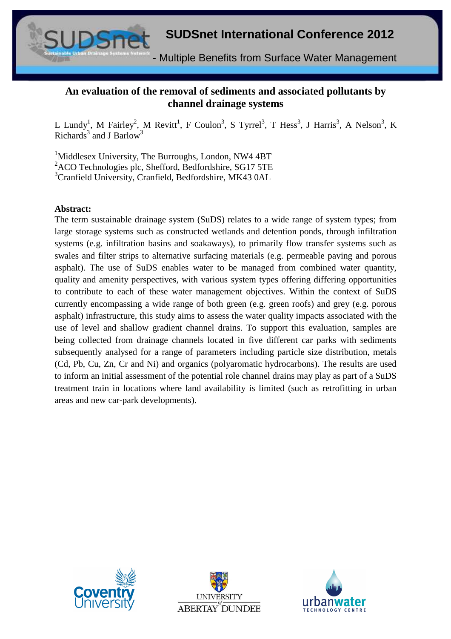

# **An evaluation of the removal of sediments and associated pollutants by channel drainage systems**

L Lundy<sup>1</sup>, M Fairley<sup>2</sup>, M Revitt<sup>1</sup>, F Coulon<sup>3</sup>, S Tyrrel<sup>3</sup>, T Hess<sup>3</sup>, J Harris<sup>3</sup>, A Nelson<sup>3</sup>, K Richards<sup>3</sup> and J Barlow<sup>3</sup>

<sup>1</sup>Middlesex University, The Burroughs, London, NW4 4BT <sup>2</sup>ACO Technologies plc, Shefford, Bedfordshire, SG17 5TE <sup>3</sup>Cranfield University, Cranfield, Bedfordshire, MK43 0AL

#### **Abstract:**

The term sustainable drainage system (SuDS) relates to a wide range of system types; from large storage systems such as constructed wetlands and detention ponds, through infiltration systems (e.g. infiltration basins and soakaways), to primarily flow transfer systems such as swales and filter strips to alternative surfacing materials (e.g. permeable paving and porous asphalt). The use of SuDS enables water to be managed from combined water quantity, quality and amenity perspectives, with various system types offering differing opportunities to contribute to each of these water management objectives. Within the context of SuDS currently encompassing a wide range of both green (e.g. green roofs) and grey (e.g. porous asphalt) infrastructure, this study aims to assess the water quality impacts associated with the use of level and shallow gradient channel drains. To support this evaluation, samples are being collected from drainage channels located in five different car parks with sediments subsequently analysed for a range of parameters including particle size distribution, metals (Cd, Pb, Cu, Zn, Cr and Ni) and organics (polyaromatic hydrocarbons). The results are used to inform an initial assessment of the potential role channel drains may play as part of a SuDS treatment train in locations where land availability is limited (such as retrofitting in urban areas and new car-park developments).





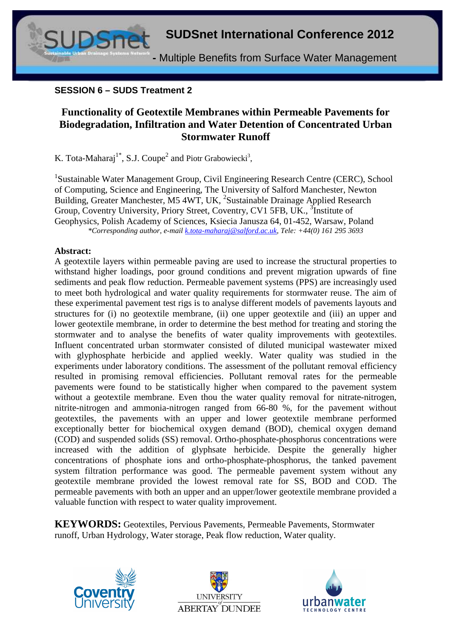**SUDSnet International Conference 2012 -** Multiple Benefits from Surface Water Management

#### **SESSION 6 – SUDS Treatment 2**

# **Functionality of Geotextile Membranes within Permeable Pavements for Biodegradation, Infiltration and Water Detention of Concentrated Urban Stormwater Runoff**

K. Tota-Maharaj<sup>1\*</sup>, S.J. Coupe<sup>2</sup> and Piotr Grabowiecki<sup>3</sup>,

<sup>1</sup>Sustainable Water Management Group, Civil Engineering Research Centre (CERC), School of Computing, Science and Engineering, The University of Salford Manchester, Newton Building, Greater Manchester, M5 4WT, UK, <sup>2</sup>Sustainable Drainage Applied Research Group, Coventry University, Priory Street, Coventry, CV1 5FB, UK., <sup>3</sup>Institute of Geophysics, Polish Academy of Sciences, Ksiecia Janusza 64, 01-452, Warsaw, Poland *\*Corresponding author, e-mail k.tota-maharaj@salford.ac.uk, Tele: +44(0) 161 295 3693* 

#### **Abstract:**

A geotextile layers within permeable paving are used to increase the structural properties to withstand higher loadings, poor ground conditions and prevent migration upwards of fine sediments and peak flow reduction. Permeable pavement systems (PPS) are increasingly used to meet both hydrological and water quality requirements for stormwater reuse. The aim of these experimental pavement test rigs is to analyse different models of pavements layouts and structures for (i) no geotextile membrane, (ii) one upper geotextile and (iii) an upper and lower geotextile membrane, in order to determine the best method for treating and storing the stormwater and to analyse the benefits of water quality improvements with geotextiles. Influent concentrated urban stormwater consisted of diluted municipal wastewater mixed with glyphosphate herbicide and applied weekly. Water quality was studied in the experiments under laboratory conditions. The assessment of the pollutant removal efficiency resulted in promising removal efficiencies. Pollutant removal rates for the permeable pavements were found to be statistically higher when compared to the pavement system without a geotextile membrane. Even thou the water quality removal for nitrate-nitrogen, nitrite-nitrogen and ammonia-nitrogen ranged from 66-80 %, for the pavement without geotextiles, the pavements with an upper and lower geotextile membrane performed exceptionally better for biochemical oxygen demand (BOD), chemical oxygen demand (COD) and suspended solids (SS) removal. Ortho-phosphate-phosphorus concentrations were increased with the addition of glyphsate herbicide. Despite the generally higher concentrations of phosphate ions and ortho-phosphate-phosphorus, the tanked pavement system filtration performance was good. The permeable pavement system without any geotextile membrane provided the lowest removal rate for SS, BOD and COD. The permeable pavements with both an upper and an upper/lower geotextile membrane provided a valuable function with respect to water quality improvement.

**KEYWORDS:** Geotextiles, Pervious Pavements, Permeable Pavements, Stormwater runoff, Urban Hydrology, Water storage, Peak flow reduction, Water quality.





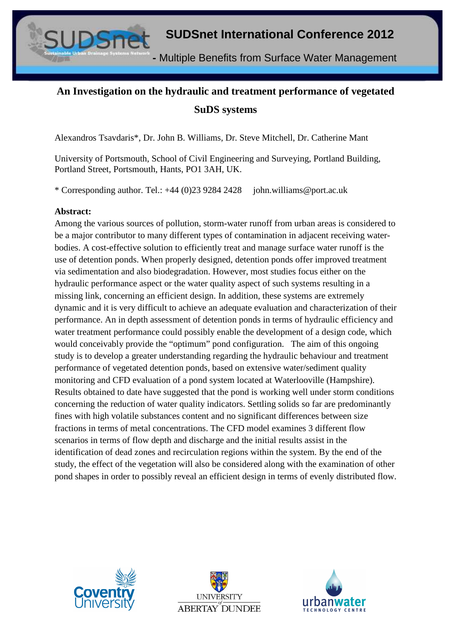

# **An Investigation on the hydraulic and treatment performance of vegetated SuDS systems**

Alexandros Tsavdaris\*, Dr. John B. Williams, Dr. Steve Mitchell, Dr. Catherine Mant

University of Portsmouth, School of Civil Engineering and Surveying, Portland Building, Portland Street, Portsmouth, Hants, PO1 3AH, UK.

\* Corresponding author. Tel.: +44 (0)23 9284 2428 john.williams@port.ac.uk

#### **Abstract:**

Among the various sources of pollution, storm-water runoff from urban areas is considered to be a major contributor to many different types of contamination in adjacent receiving waterbodies. A cost-effective solution to efficiently treat and manage surface water runoff is the use of detention ponds. When properly designed, detention ponds offer improved treatment via sedimentation and also biodegradation. However, most studies focus either on the hydraulic performance aspect or the water quality aspect of such systems resulting in a missing link, concerning an efficient design. In addition, these systems are extremely dynamic and it is very difficult to achieve an adequate evaluation and characterization of their performance. An in depth assessment of detention ponds in terms of hydraulic efficiency and water treatment performance could possibly enable the development of a design code, which would conceivably provide the "optimum" pond configuration. The aim of this ongoing study is to develop a greater understanding regarding the hydraulic behaviour and treatment performance of vegetated detention ponds, based on extensive water/sediment quality monitoring and CFD evaluation of a pond system located at Waterlooville (Hampshire). Results obtained to date have suggested that the pond is working well under storm conditions concerning the reduction of water quality indicators. Settling solids so far are predominantly fines with high volatile substances content and no significant differences between size fractions in terms of metal concentrations. The CFD model examines 3 different flow scenarios in terms of flow depth and discharge and the initial results assist in the identification of dead zones and recirculation regions within the system. By the end of the study, the effect of the vegetation will also be considered along with the examination of other pond shapes in order to possibly reveal an efficient design in terms of evenly distributed flow.





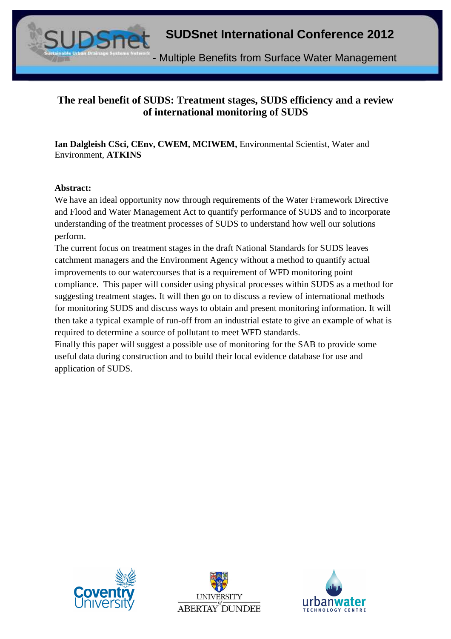

# **The real benefit of SUDS: Treatment stages, SUDS efficiency and a review of international monitoring of SUDS**

**Ian Dalgleish CSci, CEnv, CWEM, MCIWEM,** Environmental Scientist, Water and Environment, **ATKINS**

#### **Abstract:**

We have an ideal opportunity now through requirements of the Water Framework Directive and Flood and Water Management Act to quantify performance of SUDS and to incorporate understanding of the treatment processes of SUDS to understand how well our solutions perform.

The current focus on treatment stages in the draft National Standards for SUDS leaves catchment managers and the Environment Agency without a method to quantify actual improvements to our watercourses that is a requirement of WFD monitoring point compliance. This paper will consider using physical processes within SUDS as a method for suggesting treatment stages. It will then go on to discuss a review of international methods for monitoring SUDS and discuss ways to obtain and present monitoring information. It will then take a typical example of run-off from an industrial estate to give an example of what is required to determine a source of pollutant to meet WFD standards.

Finally this paper will suggest a possible use of monitoring for the SAB to provide some useful data during construction and to build their local evidence database for use and application of SUDS.





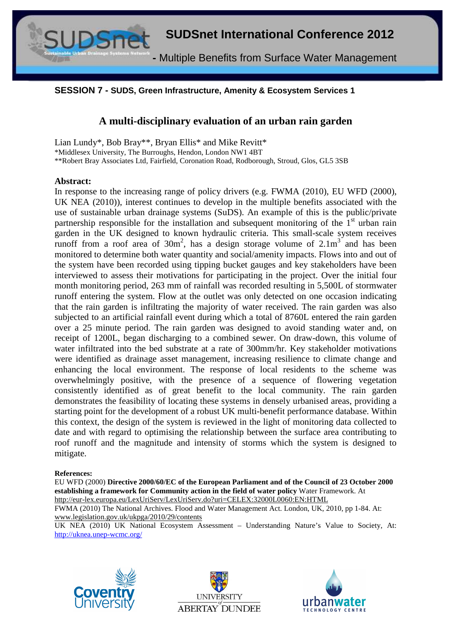

#### **SESSION 7 - SUDS, Green Infrastructure, Amenity & Ecosystem Services 1**

#### **A multi-disciplinary evaluation of an urban rain garden**

Lian Lundy\*, Bob Bray\*\*, Bryan Ellis\* and Mike Revitt\* \*Middlesex University, The Burroughs, Hendon, London NW1 4BT \*\*Robert Bray Associates Ltd, Fairfield, Coronation Road, Rodborough, Stroud, Glos, GL5 3SB

#### **Abstract:**

In response to the increasing range of policy drivers (e.g. FWMA (2010), EU WFD (2000), UK NEA (2010)), interest continues to develop in the multiple benefits associated with the use of sustainable urban drainage systems (SuDS). An example of this is the public/private partnership responsible for the installation and subsequent monitoring of the  $1<sup>st</sup>$  urban rain garden in the UK designed to known hydraulic criteria. This small-scale system receives runoff from a roof area of  $30m^2$ , has a design storage volume of  $2.1m^3$  and has been monitored to determine both water quantity and social/amenity impacts. Flows into and out of the system have been recorded using tipping bucket gauges and key stakeholders have been interviewed to assess their motivations for participating in the project. Over the initial four month monitoring period, 263 mm of rainfall was recorded resulting in 5,500L of stormwater runoff entering the system. Flow at the outlet was only detected on one occasion indicating that the rain garden is infiltrating the majority of water received. The rain garden was also subjected to an artificial rainfall event during which a total of 8760L entered the rain garden over a 25 minute period. The rain garden was designed to avoid standing water and, on receipt of 1200L, began discharging to a combined sewer. On draw-down, this volume of water infiltrated into the bed substrate at a rate of 300mm/hr. Key stakeholder motivations were identified as drainage asset management, increasing resilience to climate change and enhancing the local environment. The response of local residents to the scheme was overwhelmingly positive, with the presence of a sequence of flowering vegetation consistently identified as of great benefit to the local community. The rain garden demonstrates the feasibility of locating these systems in densely urbanised areas, providing a starting point for the development of a robust UK multi-benefit performance database. Within this context, the design of the system is reviewed in the light of monitoring data collected to date and with regard to optimising the relationship between the surface area contributing to roof runoff and the magnitude and intensity of storms which the system is designed to mitigate.

#### **References:**

EU WFD (2000) **Directive 2000/60/EC of the European Parliament and of the Council of 23 October 2000 establishing a framework for Community action in the field of water policy** Water Framework. At http://eur-lex.europa.eu/LexUriServ/LexUriServ.do?uri=CELEX:32000L0060:EN:HTML

FWMA (2010) The National Archives. Flood and Water Management Act. London, UK, 2010, pp 1-84. At: www.legislation.gov.uk/ukpga/2010/29/contents

UK NEA (2010) UK National Ecosystem Assessment – Understanding Nature's Value to Society, At: http://uknea.unep-wcmc.org/





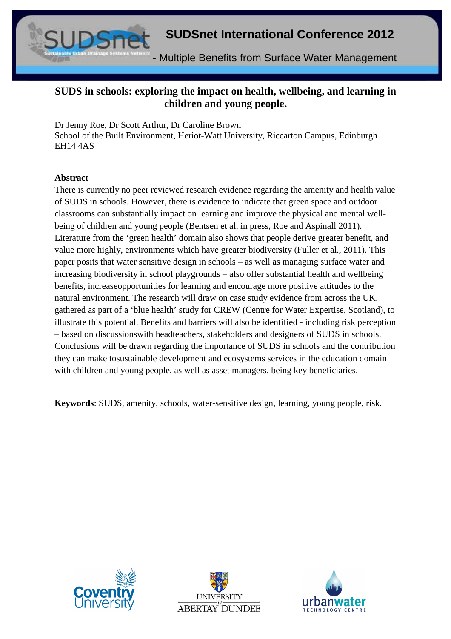

# **SUDS in schools: exploring the impact on health, wellbeing, and learning in children and young people.**

Dr Jenny Roe, Dr Scott Arthur, Dr Caroline Brown School of the Built Environment, Heriot-Watt University, Riccarton Campus, Edinburgh EH14 4AS

#### **Abstract**

There is currently no peer reviewed research evidence regarding the amenity and health value of SUDS in schools. However, there is evidence to indicate that green space and outdoor classrooms can substantially impact on learning and improve the physical and mental wellbeing of children and young people (Bentsen et al, in press, Roe and Aspinall 2011). Literature from the 'green health' domain also shows that people derive greater benefit, and value more highly, environments which have greater biodiversity (Fuller et al., 2011). This paper posits that water sensitive design in schools – as well as managing surface water and increasing biodiversity in school playgrounds – also offer substantial health and wellbeing benefits, increaseopportunities for learning and encourage more positive attitudes to the natural environment. The research will draw on case study evidence from across the UK, gathered as part of a 'blue health' study for CREW (Centre for Water Expertise, Scotland), to illustrate this potential. Benefits and barriers will also be identified - including risk perception – based on discussionswith headteachers, stakeholders and designers of SUDS in schools. Conclusions will be drawn regarding the importance of SUDS in schools and the contribution they can make tosustainable development and ecosystems services in the education domain with children and young people, as well as asset managers, being key beneficiaries.

**Keywords**: SUDS, amenity, schools, water-sensitive design, learning, young people, risk.





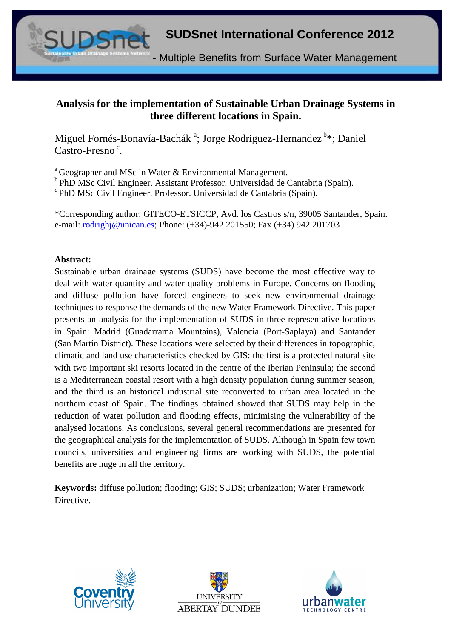**-** Multiple Benefits from Surface Water Management

# **Analysis for the implementation of Sustainable Urban Drainage Systems in three different locations in Spain.**

Miguel Fornés-Bonavía-Bachák <sup>a</sup>; Jorge Rodriguez-Hernandez <sup>b</sup>\*; Daniel Castro-Fresno<sup>c</sup>.

<sup>a</sup>Geographer and MSc in Water & Environmental Management.

 $b$ PhD MSc Civil Engineer. Assistant Professor. Universidad de Cantabria (Spain).

<sup>c</sup>PhD MSc Civil Engineer. Professor. Universidad de Cantabria (Spain).

\*Corresponding author: GITECO-ETSICCP, Avd. los Castros s/n, 39005 Santander, Spain. e-mail: rodrighj@unican.es; Phone: (+34)-942 201550; Fax (+34) 942 201703

#### **Abstract:**

Sustainable urban drainage systems (SUDS) have become the most effective way to deal with water quantity and water quality problems in Europe. Concerns on flooding and diffuse pollution have forced engineers to seek new environmental drainage techniques to response the demands of the new Water Framework Directive. This paper presents an analysis for the implementation of SUDS in three representative locations in Spain: Madrid (Guadarrama Mountains), Valencia (Port-Saplaya) and Santander (San Martín District). These locations were selected by their differences in topographic, climatic and land use characteristics checked by GIS: the first is a protected natural site with two important ski resorts located in the centre of the Iberian Peninsula; the second is a Mediterranean coastal resort with a high density population during summer season, and the third is an historical industrial site reconverted to urban area located in the northern coast of Spain. The findings obtained showed that SUDS may help in the reduction of water pollution and flooding effects, minimising the vulnerability of the analysed locations. As conclusions, several general recommendations are presented for the geographical analysis for the implementation of SUDS. Although in Spain few town councils, universities and engineering firms are working with SUDS, the potential benefits are huge in all the territory.

**Keywords:** diffuse pollution; flooding; GIS; SUDS; urbanization; Water Framework Directive.





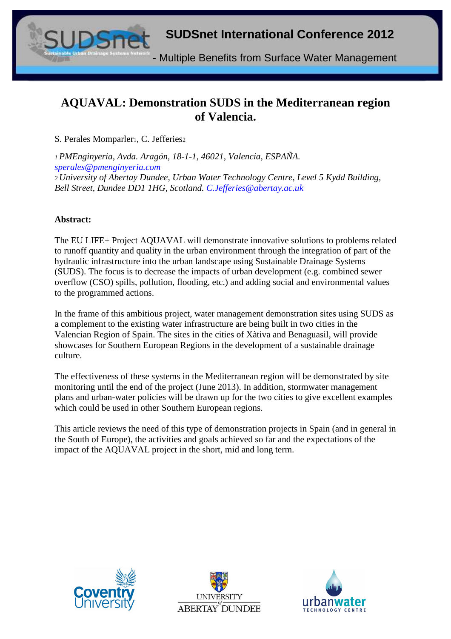

# **AQUAVAL: Demonstration SUDS in the Mediterranean region of Valencia.**

S. Perales Momparler1, C. Jefferies2

*<sup>1</sup>PMEnginyeria, Avda. Aragón, 18-1-1, 46021, Valencia, ESPAÑA. sperales@pmenginyeria.com <sup>2</sup>University of Abertay Dundee, Urban Water Technology Centre, Level 5 Kydd Building, Bell Street, Dundee DD1 1HG, Scotland. C.Jefferies@abertay.ac.uk* 

#### **Abstract:**

The EU LIFE+ Project AQUAVAL will demonstrate innovative solutions to problems related to runoff quantity and quality in the urban environment through the integration of part of the hydraulic infrastructure into the urban landscape using Sustainable Drainage Systems (SUDS). The focus is to decrease the impacts of urban development (e.g. combined sewer overflow (CSO) spills, pollution, flooding, etc.) and adding social and environmental values to the programmed actions.

In the frame of this ambitious project, water management demonstration sites using SUDS as a complement to the existing water infrastructure are being built in two cities in the Valencian Region of Spain. The sites in the cities of Xàtiva and Benaguasil, will provide showcases for Southern European Regions in the development of a sustainable drainage culture.

The effectiveness of these systems in the Mediterranean region will be demonstrated by site monitoring until the end of the project (June 2013). In addition, stormwater management plans and urban-water policies will be drawn up for the two cities to give excellent examples which could be used in other Southern European regions.

This article reviews the need of this type of demonstration projects in Spain (and in general in the South of Europe), the activities and goals achieved so far and the expectations of the impact of the AQUAVAL project in the short, mid and long term.





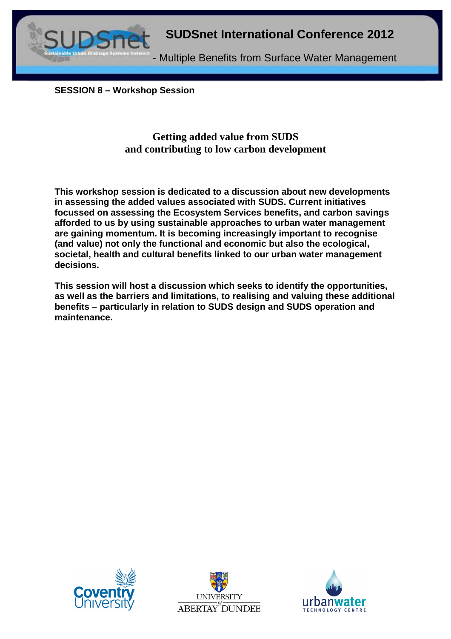

**SESSION 8 – Workshop Session** 

# **Getting added value from SUDS and contributing to low carbon development**

**This workshop session is dedicated to a discussion about new developments in assessing the added values associated with SUDS. Current initiatives focussed on assessing the Ecosystem Services benefits, and carbon savings afforded to us by using sustainable approaches to urban water management are gaining momentum. It is becoming increasingly important to recognise (and value) not only the functional and economic but also the ecological, societal, health and cultural benefits linked to our urban water management decisions.** 

**This session will host a discussion which seeks to identify the opportunities, as well as the barriers and limitations, to realising and valuing these additional benefits – particularly in relation to SUDS design and SUDS operation and maintenance.** 





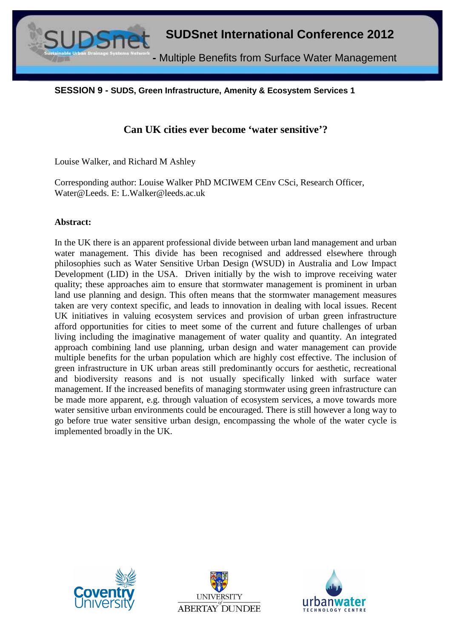

**SESSION 9 - SUDS, Green Infrastructure, Amenity & Ecosystem Services 1** 

# **Can UK cities ever become 'water sensitive'?**

Louise Walker, and Richard M Ashley

Corresponding author: Louise Walker PhD MCIWEM CEnv CSci, Research Officer, Water@Leeds. E: L.Walker@leeds.ac.uk

#### **Abstract:**

In the UK there is an apparent professional divide between urban land management and urban water management. This divide has been recognised and addressed elsewhere through philosophies such as Water Sensitive Urban Design (WSUD) in Australia and Low Impact Development (LID) in the USA. Driven initially by the wish to improve receiving water quality; these approaches aim to ensure that stormwater management is prominent in urban land use planning and design. This often means that the stormwater management measures taken are very context specific, and leads to innovation in dealing with local issues. Recent UK initiatives in valuing ecosystem services and provision of urban green infrastructure afford opportunities for cities to meet some of the current and future challenges of urban living including the imaginative management of water quality and quantity. An integrated approach combining land use planning, urban design and water management can provide multiple benefits for the urban population which are highly cost effective. The inclusion of green infrastructure in UK urban areas still predominantly occurs for aesthetic, recreational and biodiversity reasons and is not usually specifically linked with surface water management. If the increased benefits of managing stormwater using green infrastructure can be made more apparent, e.g. through valuation of ecosystem services, a move towards more water sensitive urban environments could be encouraged. There is still however a long way to go before true water sensitive urban design, encompassing the whole of the water cycle is implemented broadly in the UK.





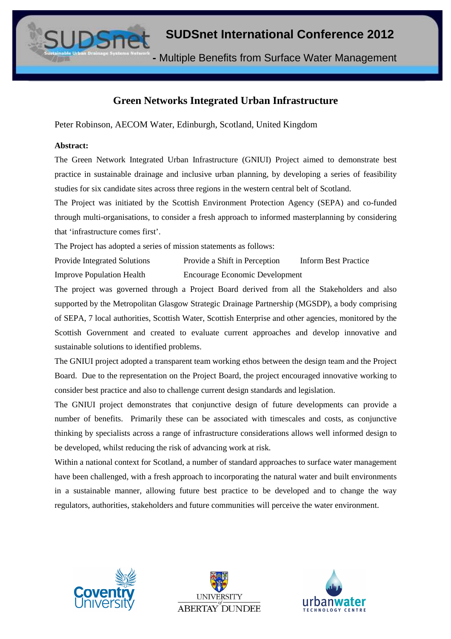**-** Multiple Benefits from Surface Water Management

# **Green Networks Integrated Urban Infrastructure**

Peter Robinson, AECOM Water, Edinburgh, Scotland, United Kingdom

#### **Abstract:**

The Green Network Integrated Urban Infrastructure (GNIUI) Project aimed to demonstrate best practice in sustainable drainage and inclusive urban planning, by developing a series of feasibility studies for six candidate sites across three regions in the western central belt of Scotland.

The Project was initiated by the Scottish Environment Protection Agency (SEPA) and co-funded through multi-organisations, to consider a fresh approach to informed masterplanning by considering that 'infrastructure comes first'.

The Project has adopted a series of mission statements as follows:

Provide Integrated Solutions Provide a Shift in Perception Inform Best Practice Improve Population Health Encourage Economic Development

The project was governed through a Project Board derived from all the Stakeholders and also supported by the Metropolitan Glasgow Strategic Drainage Partnership (MGSDP), a body comprising of SEPA, 7 local authorities, Scottish Water, Scottish Enterprise and other agencies, monitored by the Scottish Government and created to evaluate current approaches and develop innovative and sustainable solutions to identified problems.

The GNIUI project adopted a transparent team working ethos between the design team and the Project Board. Due to the representation on the Project Board, the project encouraged innovative working to consider best practice and also to challenge current design standards and legislation.

The GNIUI project demonstrates that conjunctive design of future developments can provide a number of benefits. Primarily these can be associated with timescales and costs, as conjunctive thinking by specialists across a range of infrastructure considerations allows well informed design to be developed, whilst reducing the risk of advancing work at risk.

Within a national context for Scotland, a number of standard approaches to surface water management have been challenged, with a fresh approach to incorporating the natural water and built environments in a sustainable manner, allowing future best practice to be developed and to change the way regulators, authorities, stakeholders and future communities will perceive the water environment.





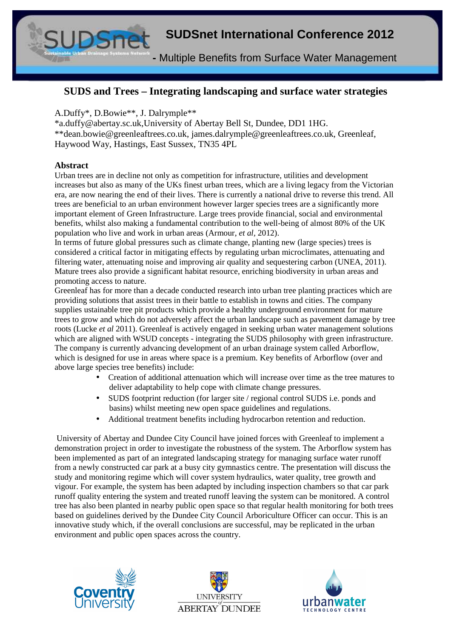**-** Multiple Benefits from Surface Water Management

## **SUDS and Trees – Integrating landscaping and surface water strategies**

#### A.Duffy\*, D.Bowie\*\*, J. Dalrymple\*\*

\*a.duffy@abertay.sc.uk,University of Abertay Bell St, Dundee, DD1 1HG. \*\*dean.bowie@greenleaftrees.co.uk, james.dalrymple@greenleaftrees.co.uk, Greenleaf, Haywood Way, Hastings, East Sussex, TN35 4PL

#### **Abstract**

Urban trees are in decline not only as competition for infrastructure, utilities and development increases but also as many of the UKs finest urban trees, which are a living legacy from the Victorian era, are now nearing the end of their lives. There is currently a national drive to reverse this trend. All trees are beneficial to an urban environment however larger species trees are a significantly more important element of Green Infrastructure. Large trees provide financial, social and environmental benefits, whilst also making a fundamental contribution to the well-being of almost 80% of the UK population who live and work in urban areas (Armour, *et al,* 2012).

In terms of future global pressures such as climate change, planting new (large species) trees is considered a critical factor in mitigating effects by regulating urban microclimates, attenuating and filtering water, attenuating noise and improving air quality and sequestering carbon (UNEA, 2011). Mature trees also provide a significant habitat resource, enriching biodiversity in urban areas and promoting access to nature.

Greenleaf has for more than a decade conducted research into urban tree planting practices which are providing solutions that assist trees in their battle to establish in towns and cities. The company supplies ustainable tree pit products which provide a healthy underground environment for mature trees to grow and which do not adversely affect the urban landscape such as pavement damage by tree roots (Lucke *et al* 2011). Greenleaf is actively engaged in seeking urban water management solutions which are aligned with WSUD concepts - integrating the SUDS philosophy with green infrastructure. The company is currently advancing development of an urban drainage system called Arborflow, which is designed for use in areas where space is a premium. Key benefits of Arborflow (over and above large species tree benefits) include:

- Creation of additional attenuation which will increase over time as the tree matures to deliver adaptability to help cope with climate change pressures.
- SUDS footprint reduction (for larger site / regional control SUDS i.e. ponds and basins) whilst meeting new open space guidelines and regulations.
- Additional treatment benefits including hydrocarbon retention and reduction.

 University of Abertay and Dundee City Council have joined forces with Greenleaf to implement a demonstration project in order to investigate the robustness of the system. The Arborflow system has been implemented as part of an integrated landscaping strategy for managing surface water runoff from a newly constructed car park at a busy city gymnastics centre. The presentation will discuss the study and monitoring regime which will cover system hydraulics, water quality, tree growth and vigour. For example, the system has been adapted by including inspection chambers so that car park runoff quality entering the system and treated runoff leaving the system can be monitored. A control tree has also been planted in nearby public open space so that regular health monitoring for both trees based on guidelines derived by the Dundee City Council Arboriculture Officer can occur. This is an innovative study which, if the overall conclusions are successful, may be replicated in the urban environment and public open spaces across the country.





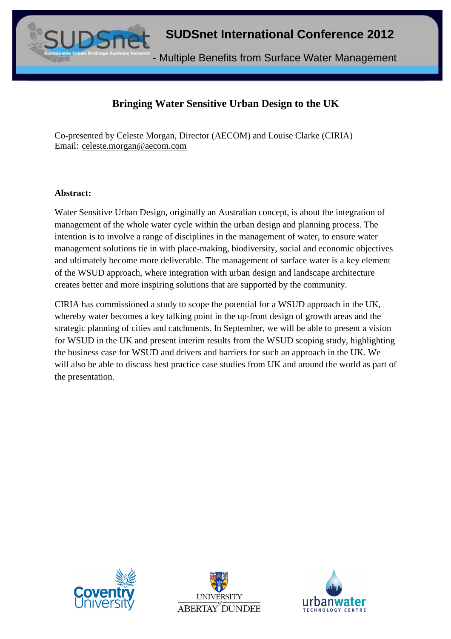

# **Bringing Water Sensitive Urban Design to the UK**

Co-presented by Celeste Morgan, Director (AECOM) and Louise Clarke (CIRIA) Email: celeste.morgan@aecom.com

#### **Abstract:**

Water Sensitive Urban Design, originally an Australian concept, is about the integration of management of the whole water cycle within the urban design and planning process. The intention is to involve a range of disciplines in the management of water, to ensure water management solutions tie in with place-making, biodiversity, social and economic objectives and ultimately become more deliverable. The management of surface water is a key element of the WSUD approach, where integration with urban design and landscape architecture creates better and more inspiring solutions that are supported by the community.

CIRIA has commissioned a study to scope the potential for a WSUD approach in the UK, whereby water becomes a key talking point in the up-front design of growth areas and the strategic planning of cities and catchments. In September, we will be able to present a vision for WSUD in the UK and present interim results from the WSUD scoping study, highlighting the business case for WSUD and drivers and barriers for such an approach in the UK. We will also be able to discuss best practice case studies from UK and around the world as part of the presentation.